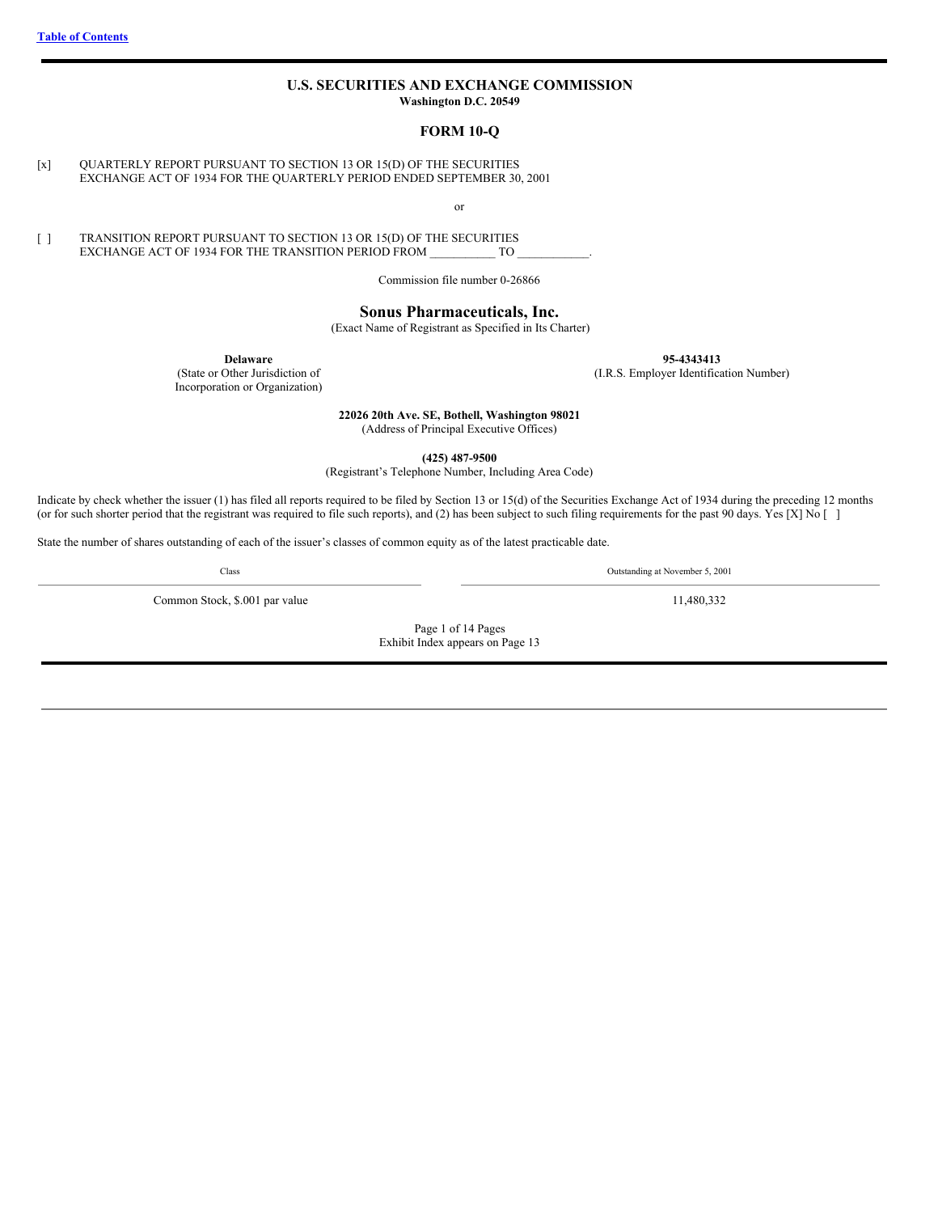## **U.S. SECURITIES AND EXCHANGE COMMISSION Washington D.C. 20549**

#### **FORM 10-Q**

<span id="page-0-0"></span>[x] QUARTERLY REPORT PURSUANT TO SECTION 13 OR 15(D) OF THE SECURITIES EXCHANGE ACT OF 1934 FOR THE QUARTERLY PERIOD ENDED SEPTEMBER 30, 2001

or

[ ] TRANSITION REPORT PURSUANT TO SECTION 13 OR 15(D) OF THE SECURITIES EXCHANGE ACT OF 1934 FOR THE TRANSITION PERIOD FROM \_\_\_\_\_\_\_\_\_\_\_\_ TO

Commission file number 0-26866

# **Sonus Pharmaceuticals, Inc.**

(Exact Name of Registrant as Specified in Its Charter)

**Delaware**

(State or Other Jurisdiction of Incorporation or Organization) **95-4343413**

(I.R.S. Employer Identification Number)

**22026 20th Ave. SE, Bothell, Washington 98021**

(Address of Principal Executive Offices)

**(425) 487-9500**

(Registrant's Telephone Number, Including Area Code)

Indicate by check whether the issuer (1) has filed all reports required to be filed by Section 13 or 15(d) of the Securities Exchange Act of 1934 during the preceding 12 months (or for such shorter period that the registrant was required to file such reports), and (2) has been subject to such filing requirements for the past 90 days. Yes [X] No []

State the number of shares outstanding of each of the issuer's classes of common equity as of the latest practicable date.

Class Outstanding at November 5, 2001

Common Stock, \$.001 par value 11,480,332

Page 1 of 14 Pages Exhibit Index appears on Page 13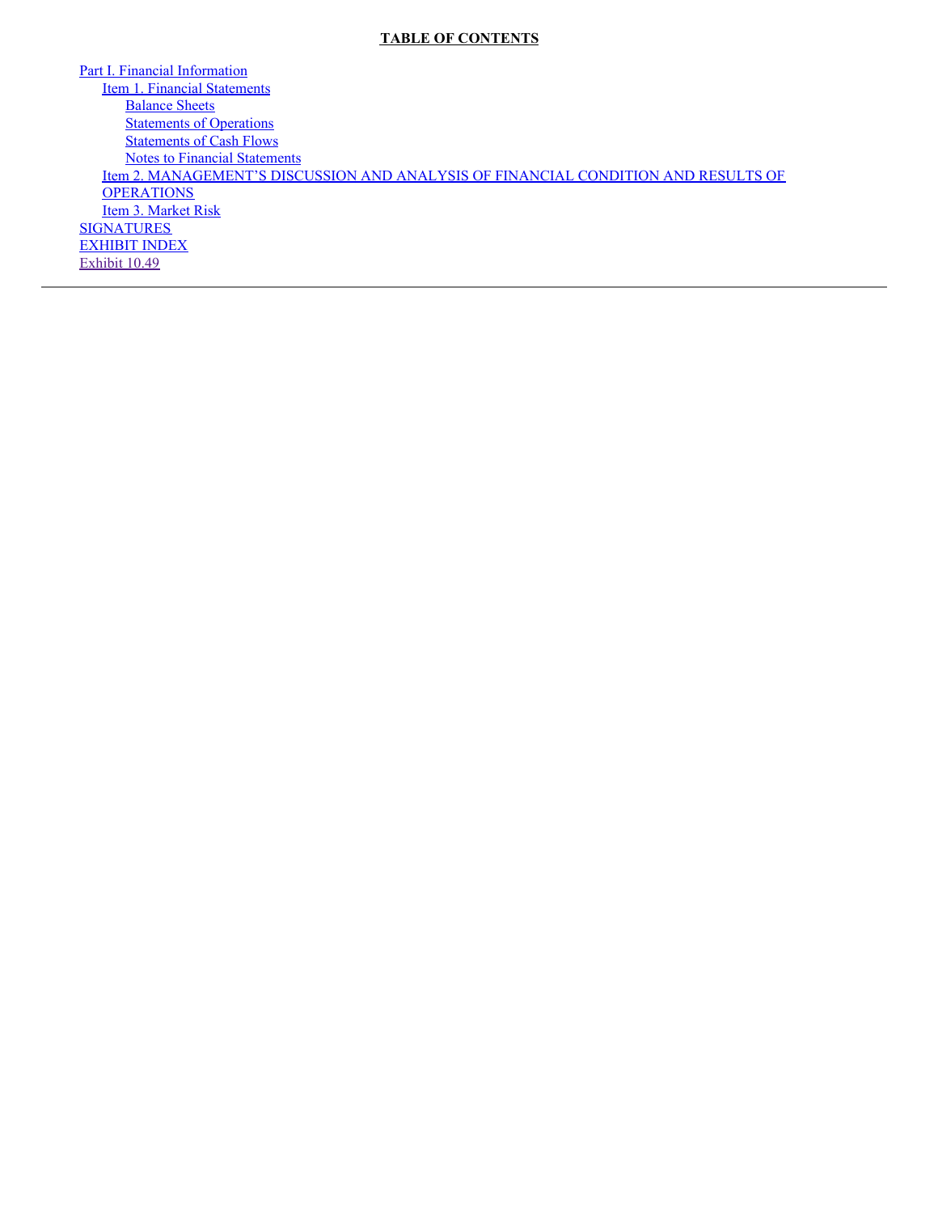# **TABLE OF CONTENTS**

Part I. Financial [Information](#page-3-0) Item 1. Financial [Statements](#page-3-1) **[Balance](#page-3-2) Sheets [Statements](#page-4-0) of Operations [Statements](#page-5-0) of Cash Flows** Notes to Financial [Statements](#page-6-0) Item 2. [MANAGEMENT'S](#page-8-0) DISCUSSION AND ANALYSIS OF FINANCIAL CONDITION AND RESULTS OF **OPERATIONS** Item 3. [Market](#page-11-0) Risk **[SIGNATURES](#page-14-0)** [EXHIBIT](#page-15-0) INDEX [Exhibit](#page-22-0) 10.49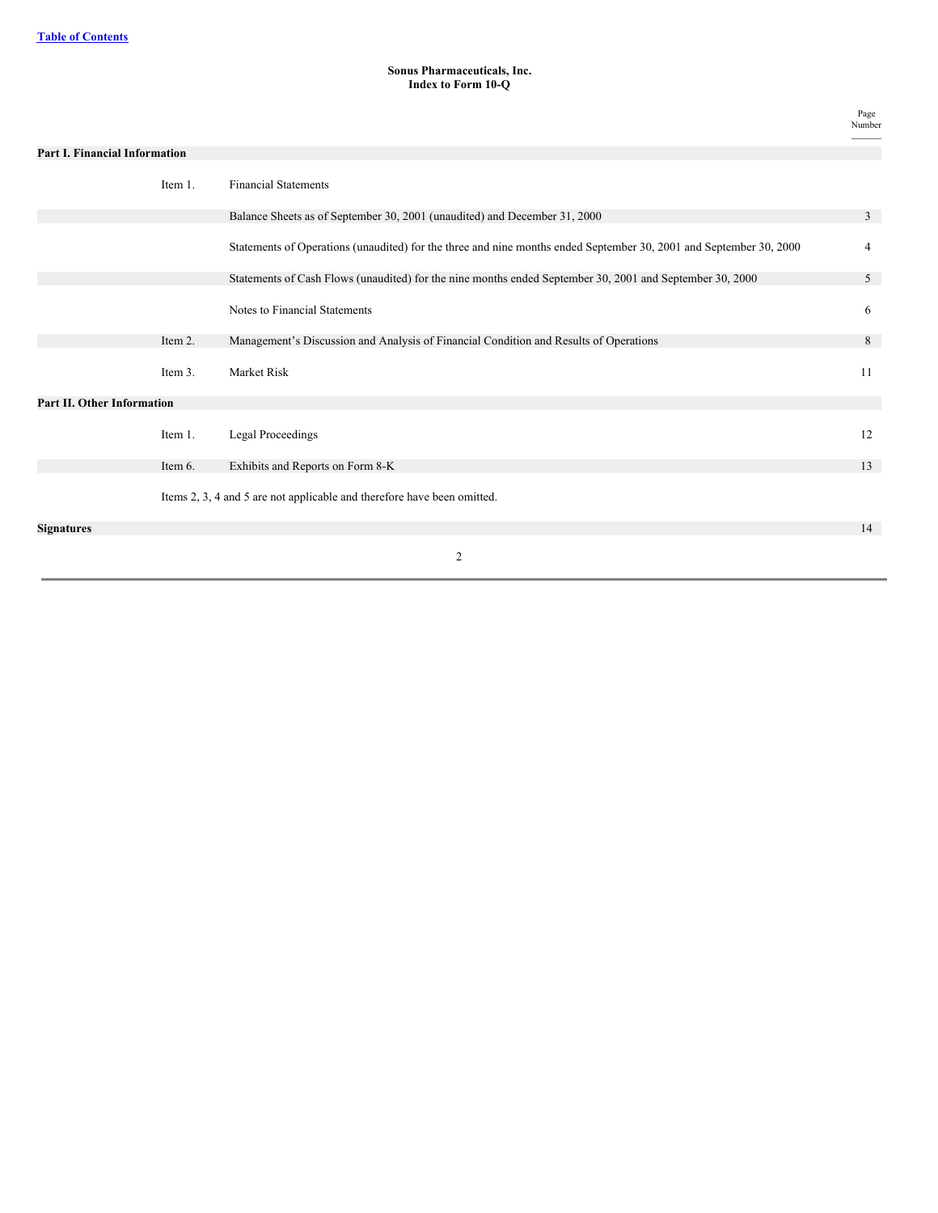# **Sonus Pharmaceuticals, Inc. Index to Form 10-Q**

Page Number

| <b>Part I. Financial Information</b> |         |                                                                                                                    |    |
|--------------------------------------|---------|--------------------------------------------------------------------------------------------------------------------|----|
|                                      | Item 1. | <b>Financial Statements</b>                                                                                        |    |
|                                      |         | Balance Sheets as of September 30, 2001 (unaudited) and December 31, 2000                                          | 3  |
|                                      |         | Statements of Operations (unaudited) for the three and nine months ended September 30, 2001 and September 30, 2000 | 4  |
|                                      |         | Statements of Cash Flows (unaudited) for the nine months ended September 30, 2001 and September 30, 2000           | 5  |
|                                      |         | Notes to Financial Statements                                                                                      | 6  |
|                                      | Item 2. | Management's Discussion and Analysis of Financial Condition and Results of Operations                              | 8  |
|                                      | Item 3. | Market Risk                                                                                                        | 11 |
| <b>Part II. Other Information</b>    |         |                                                                                                                    |    |
|                                      | Item 1. | <b>Legal Proceedings</b>                                                                                           | 12 |
|                                      | Item 6. | Exhibits and Reports on Form 8-K                                                                                   | 13 |
|                                      |         | Items 2, 3, 4 and 5 are not applicable and therefore have been omitted.                                            |    |
| <b>Signatures</b>                    |         |                                                                                                                    | 14 |
|                                      |         | 2                                                                                                                  |    |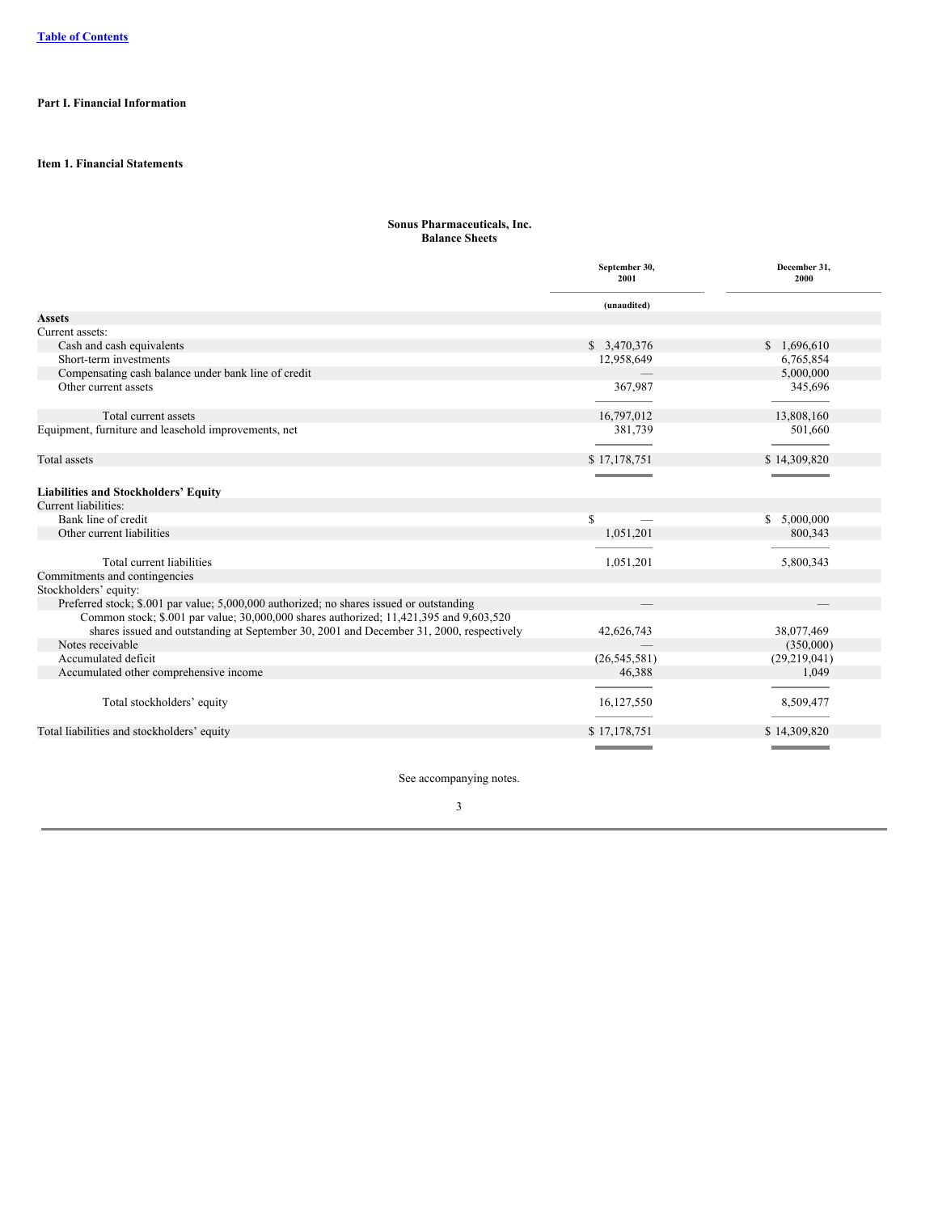# <span id="page-3-1"></span><span id="page-3-0"></span>**Part I. Financial Information**

# <span id="page-3-2"></span>**Item 1. Financial Statements**

## **Sonus Pharmaceuticals, Inc. Balance Sheets**

|                                                                                          | September 30,<br>2001 | December 31,<br>2000 |
|------------------------------------------------------------------------------------------|-----------------------|----------------------|
|                                                                                          | (unaudited)           |                      |
| <b>Assets</b>                                                                            |                       |                      |
| Current assets:                                                                          |                       |                      |
| Cash and cash equivalents                                                                | \$ 3,470,376          | \$1,696,610          |
| Short-term investments                                                                   | 12,958,649            | 6,765,854            |
| Compensating cash balance under bank line of credit                                      |                       | 5,000,000            |
| Other current assets                                                                     | 367,987               | 345,696              |
|                                                                                          |                       |                      |
| Total current assets                                                                     | 16,797,012            | 13,808,160           |
| Equipment, furniture and leasehold improvements, net                                     | 381,739               | 501,660              |
|                                                                                          |                       |                      |
| Total assets                                                                             | \$17,178,751          | \$14,309,820         |
|                                                                                          |                       |                      |
| <b>Liabilities and Stockholders' Equity</b>                                              |                       |                      |
| Current liabilities:                                                                     |                       |                      |
| Bank line of credit                                                                      | \$                    | \$5,000,000          |
| Other current liabilities                                                                | 1,051,201             | 800,343              |
|                                                                                          |                       |                      |
| Total current liabilities                                                                | 1,051,201             | 5,800,343            |
| Commitments and contingencies                                                            |                       |                      |
| Stockholders' equity:                                                                    |                       |                      |
| Preferred stock; \$.001 par value; 5,000,000 authorized; no shares issued or outstanding |                       |                      |
| Common stock; \$.001 par value; 30,000,000 shares authorized; 11,421,395 and 9,603,520   |                       |                      |
| shares issued and outstanding at September 30, 2001 and December 31, 2000, respectively  | 42,626,743            | 38,077,469           |
| Notes receivable                                                                         |                       | (350,000)            |
| Accumulated deficit                                                                      | (26, 545, 581)        | (29, 219, 041)       |
| Accumulated other comprehensive income                                                   | 46,388                | 1.049                |
|                                                                                          |                       |                      |
| Total stockholders' equity                                                               | 16,127,550            | 8,509,477            |
|                                                                                          |                       |                      |
| Total liabilities and stockholders' equity                                               | \$17,178,751          | \$14,309,820         |
|                                                                                          |                       |                      |

See accompanying notes.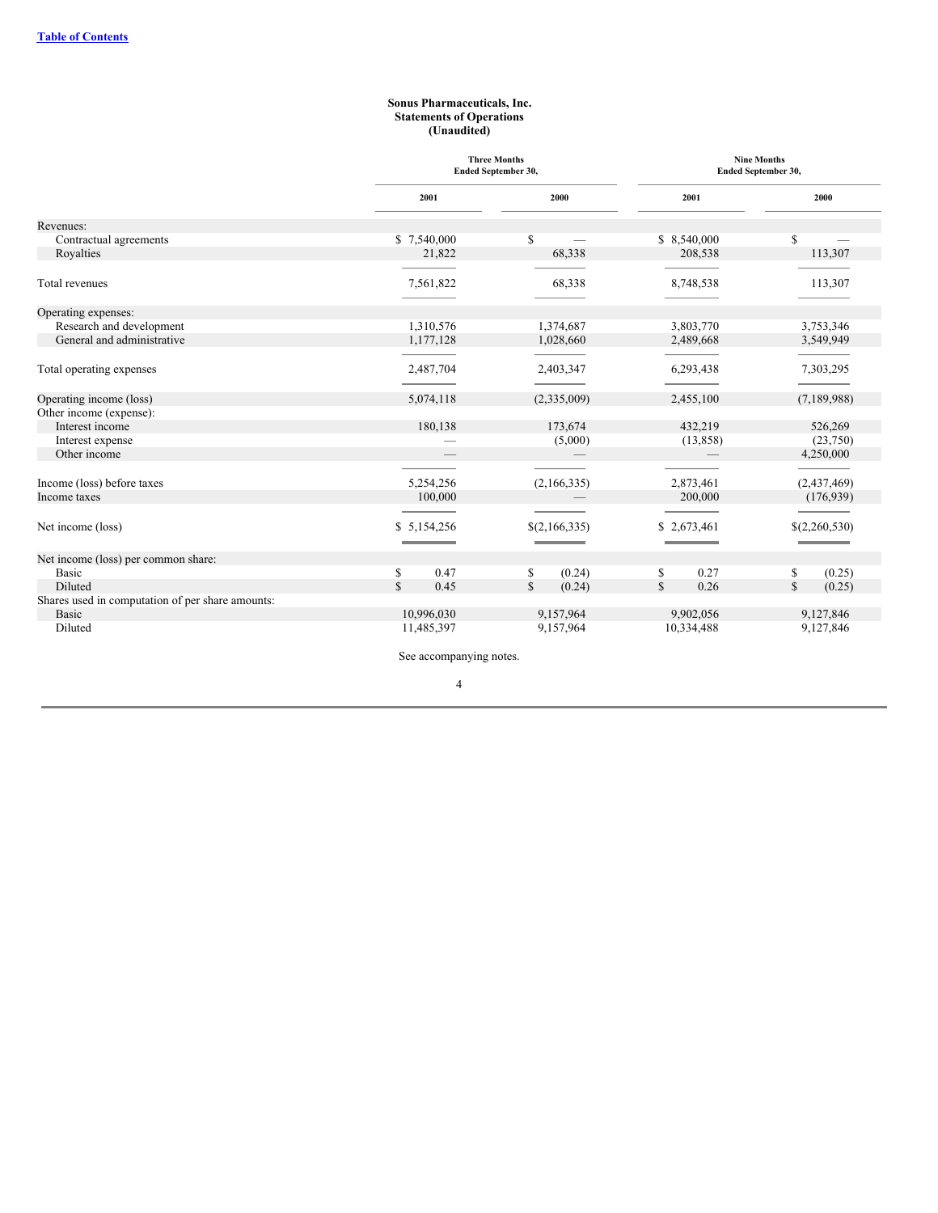#### **Sonus Pharmaceuticals, Inc. Statements of Operations (Unaudited)**

<span id="page-4-0"></span>

|                                                  | <b>Three Months</b><br><b>Ended September 30,</b> |               |                      | <b>Nine Months</b><br>Ended September 30, |
|--------------------------------------------------|---------------------------------------------------|---------------|----------------------|-------------------------------------------|
|                                                  | 2001                                              | 2000          | 2001                 | 2000                                      |
| Revenues:                                        |                                                   |               |                      |                                           |
| Contractual agreements                           | \$7,540,000                                       | \$            | \$8,540,000          | \$                                        |
| Royalties                                        | 21,822                                            | 68,338        | 208,538              | 113,307                                   |
| Total revenues                                   | 7,561,822                                         | 68,338        | 8,748,538            | 113,307                                   |
| Operating expenses:                              |                                                   |               |                      |                                           |
| Research and development                         | 1.310.576                                         | 1,374,687     | 3,803,770            | 3,753,346                                 |
| General and administrative                       | 1,177,128                                         | 1,028,660     | 2,489,668            | 3,549,949                                 |
| Total operating expenses                         | 2,487,704                                         | 2,403,347     | 6,293,438            | 7,303,295                                 |
| Operating income (loss)                          | 5,074,118                                         | (2,335,009)   | 2,455,100            | (7,189,988)                               |
| Other income (expense):                          |                                                   |               |                      |                                           |
| Interest income                                  | 180,138                                           | 173,674       | 432,219              | 526,269                                   |
| Interest expense                                 |                                                   | (5,000)       | (13,858)             | (23,750)                                  |
| Other income                                     |                                                   |               |                      | 4,250,000                                 |
|                                                  |                                                   |               |                      |                                           |
| Income (loss) before taxes                       | 5,254,256                                         | (2,166,335)   | 2,873,461            | (2,437,469)                               |
| Income taxes                                     | 100,000                                           |               | 200,000              | (176, 939)                                |
| Net income (loss)                                | \$5,154,256                                       | \$(2,166,335) | \$2,673,461          | \$(2,260,530)<br><b>State State State</b> |
| Net income (loss) per common share:              |                                                   |               |                      |                                           |
| Basic                                            | \$<br>0.47                                        | (0.24)<br>\$  | 0.27<br>\$           | (0.25)<br>\$                              |
| Diluted                                          | $\mathbb{S}$<br>0.45                              | \$<br>(0.24)  | $\mathbb{S}$<br>0.26 | $\mathbb{S}$<br>(0.25)                    |
| Shares used in computation of per share amounts: |                                                   |               |                      |                                           |
| Basic                                            | 10,996,030                                        | 9,157,964     | 9,902,056            | 9,127,846                                 |
| Diluted                                          | 11,485,397                                        | 9,157,964     | 10,334,488           | 9,127,846                                 |
|                                                  | See accompanying notes.                           |               |                      |                                           |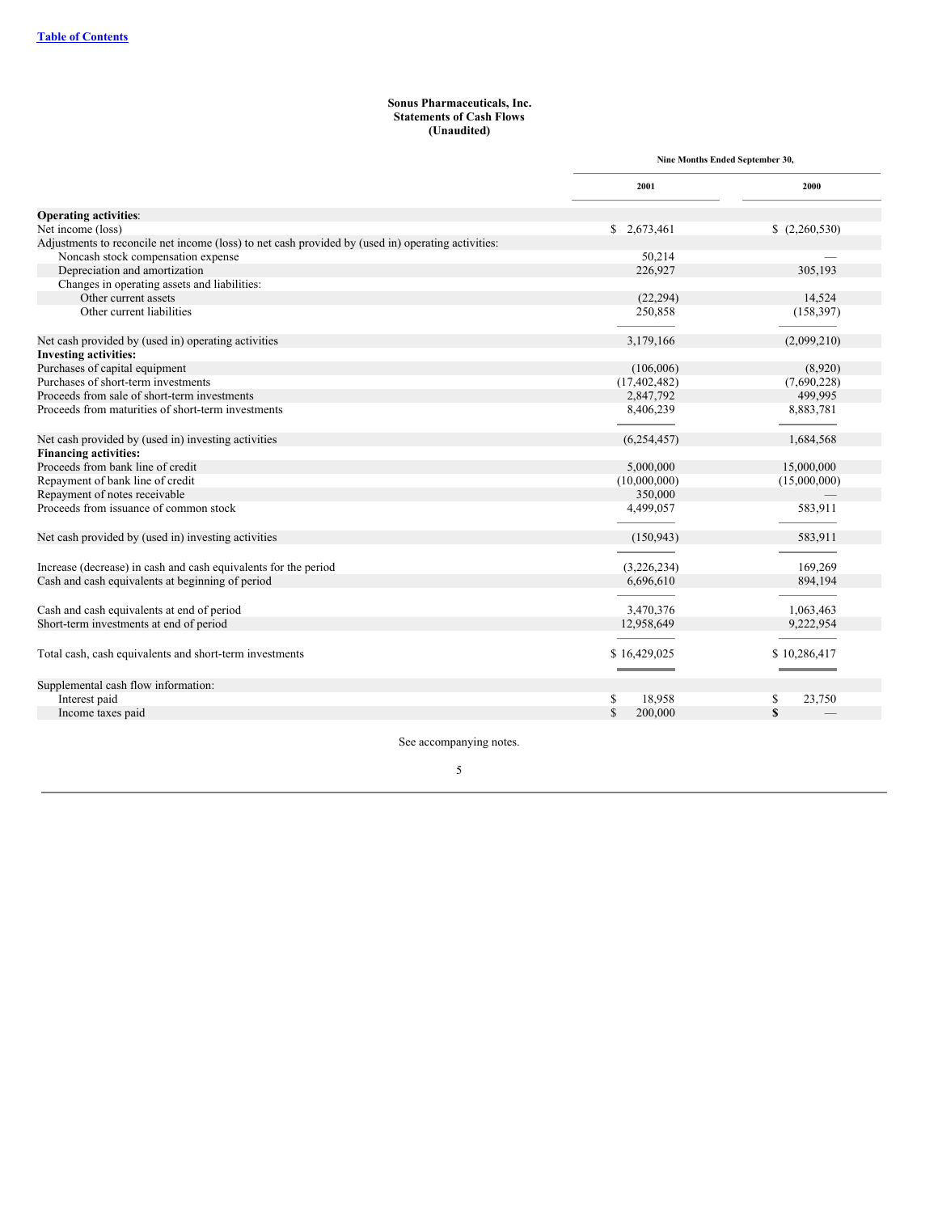## **Sonus Pharmaceuticals, Inc. Statements of Cash Flows (Unaudited)**

<span id="page-5-0"></span>

|                                                                                                    | Nine Months Ended September 30, |              |
|----------------------------------------------------------------------------------------------------|---------------------------------|--------------|
|                                                                                                    | 2001                            | 2000         |
| <b>Operating activities:</b>                                                                       |                                 |              |
| Net income (loss)                                                                                  | \$ 2,673,461                    | (2,260,530)  |
| Adjustments to reconcile net income (loss) to net cash provided by (used in) operating activities: |                                 |              |
| Noncash stock compensation expense                                                                 | 50,214                          |              |
| Depreciation and amortization                                                                      | 226,927                         | 305,193      |
| Changes in operating assets and liabilities:                                                       |                                 |              |
| Other current assets                                                                               | (22, 294)                       | 14,524       |
| Other current liabilities                                                                          | 250,858                         | (158, 397)   |
| Net cash provided by (used in) operating activities                                                | 3,179,166                       | (2,099,210)  |
| <b>Investing activities:</b>                                                                       |                                 |              |
| Purchases of capital equipment                                                                     | (106,006)                       | (8,920)      |
| Purchases of short-term investments                                                                | (17, 402, 482)                  | (7,690,228)  |
| Proceeds from sale of short-term investments                                                       | 2,847,792                       | 499,995      |
| Proceeds from maturities of short-term investments                                                 | 8,406,239                       | 8,883,781    |
| Net cash provided by (used in) investing activities                                                | (6,254,457)                     | 1,684,568    |
| <b>Financing activities:</b>                                                                       |                                 |              |
| Proceeds from bank line of credit                                                                  | 5,000,000                       | 15,000,000   |
| Repayment of bank line of credit                                                                   | (10,000,000)                    | (15,000,000) |
| Repayment of notes receivable                                                                      | 350,000                         |              |
| Proceeds from issuance of common stock                                                             | 4,499,057                       | 583,911      |
| Net cash provided by (used in) investing activities                                                | (150, 943)                      | 583,911      |
| Increase (decrease) in cash and cash equivalents for the period                                    | (3,226,234)                     | 169,269      |
| Cash and cash equivalents at beginning of period                                                   | 6,696,610                       | 894,194      |
| Cash and cash equivalents at end of period                                                         | 3,470,376                       | 1,063,463    |
| Short-term investments at end of period                                                            | 12,958,649                      | 9,222,954    |
| Total cash, cash equivalents and short-term investments                                            | \$16,429,025                    | \$10,286,417 |
| Supplemental cash flow information:                                                                |                                 |              |
| Interest paid                                                                                      | \$<br>18,958                    | \$<br>23,750 |
| Income taxes paid                                                                                  | $\mathbf S$<br>200,000          | $\mathbf S$  |
|                                                                                                    |                                 |              |

See accompanying notes.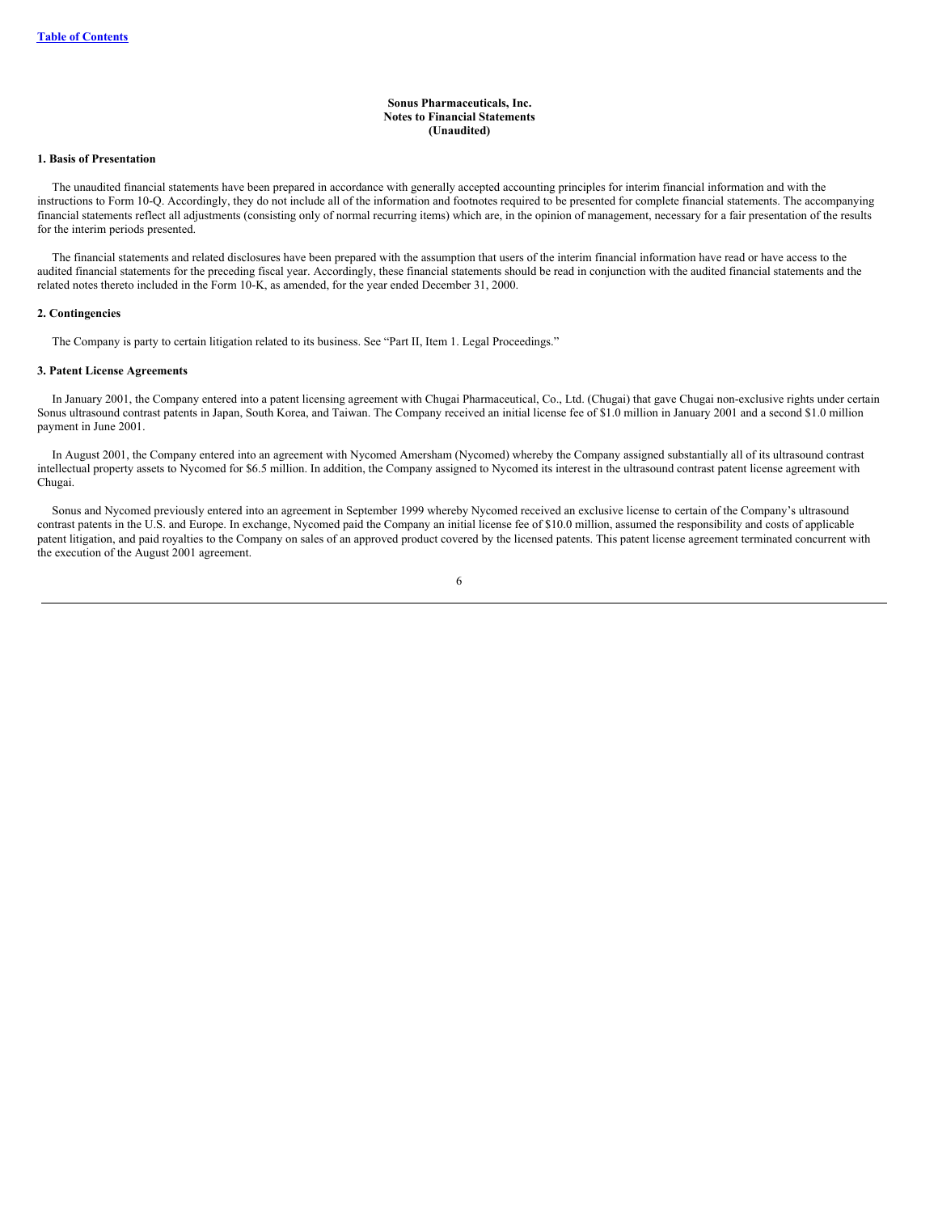#### **Sonus Pharmaceuticals, Inc. Notes to Financial Statements (Unaudited)**

## <span id="page-6-0"></span>**1. Basis of Presentation**

The unaudited financial statements have been prepared in accordance with generally accepted accounting principles for interim financial information and with the instructions to Form 10-Q. Accordingly, they do not include all of the information and footnotes required to be presented for complete financial statements. The accompanying financial statements reflect all adjustments (consisting only of normal recurring items) which are, in the opinion of management, necessary for a fair presentation of the results for the interim periods presented.

The financial statements and related disclosures have been prepared with the assumption that users of the interim financial information have read or have access to the audited financial statements for the preceding fiscal year. Accordingly, these financial statements should be read in conjunction with the audited financial statements and the related notes thereto included in the Form 10-K, as amended, for the year ended December 31, 2000.

#### **2. Contingencies**

The Company is party to certain litigation related to its business. See "Part II, Item 1. Legal Proceedings."

#### **3. Patent License Agreements**

In January 2001, the Company entered into a patent licensing agreement with Chugai Pharmaceutical, Co., Ltd. (Chugai) that gave Chugai non-exclusive rights under certain Sonus ultrasound contrast patents in Japan, South Korea, and Taiwan. The Company received an initial license fee of \$1.0 million in January 2001 and a second \$1.0 million payment in June 2001.

In August 2001, the Company entered into an agreement with Nycomed Amersham (Nycomed) whereby the Company assigned substantially all of its ultrasound contrast intellectual property assets to Nycomed for \$6.5 million. In addition, the Company assigned to Nycomed its interest in the ultrasound contrast patent license agreement with Chugai.

Sonus and Nycomed previously entered into an agreement in September 1999 whereby Nycomed received an exclusive license to certain of the Company's ultrasound contrast patents in the U.S. and Europe. In exchange, Nycomed paid the Company an initial license fee of \$10.0 million, assumed the responsibility and costs of applicable patent litigation, and paid royalties to the Company on sales of an approved product covered by the licensed patents. This patent license agreement terminated concurrent with the execution of the August 2001 agreement.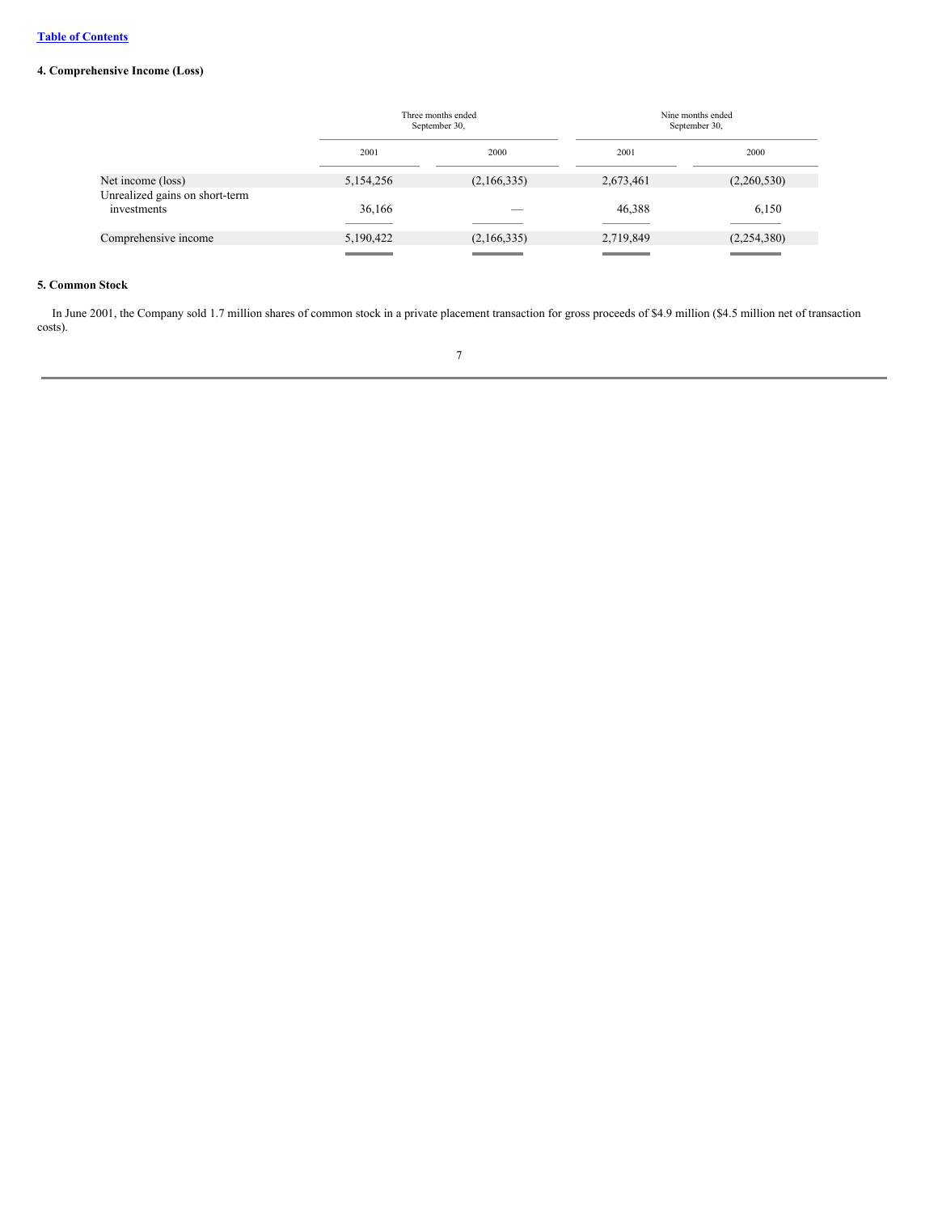# **4. Comprehensive Income (Loss)**

|                                                     |           | Three months ended<br>September 30, |           | Nine months ended<br>September 30, |  |
|-----------------------------------------------------|-----------|-------------------------------------|-----------|------------------------------------|--|
|                                                     | 2001      | 2000                                | 2001      | 2000                               |  |
| Net income (loss)<br>Unrealized gains on short-term | 5,154,256 | (2,166,335)                         | 2,673,461 | (2,260,530)                        |  |
| investments                                         | 36,166    |                                     | 46,388    | 6,150                              |  |
| Comprehensive income                                | 5,190,422 | (2,166,335)                         | 2,719,849 | (2,254,380)                        |  |

# **5. Common Stock**

In June 2001, the Company sold 1.7 million shares of common stock in a private placement transaction for gross proceeds of \$4.9 million (\$4.5 million net of transaction costs).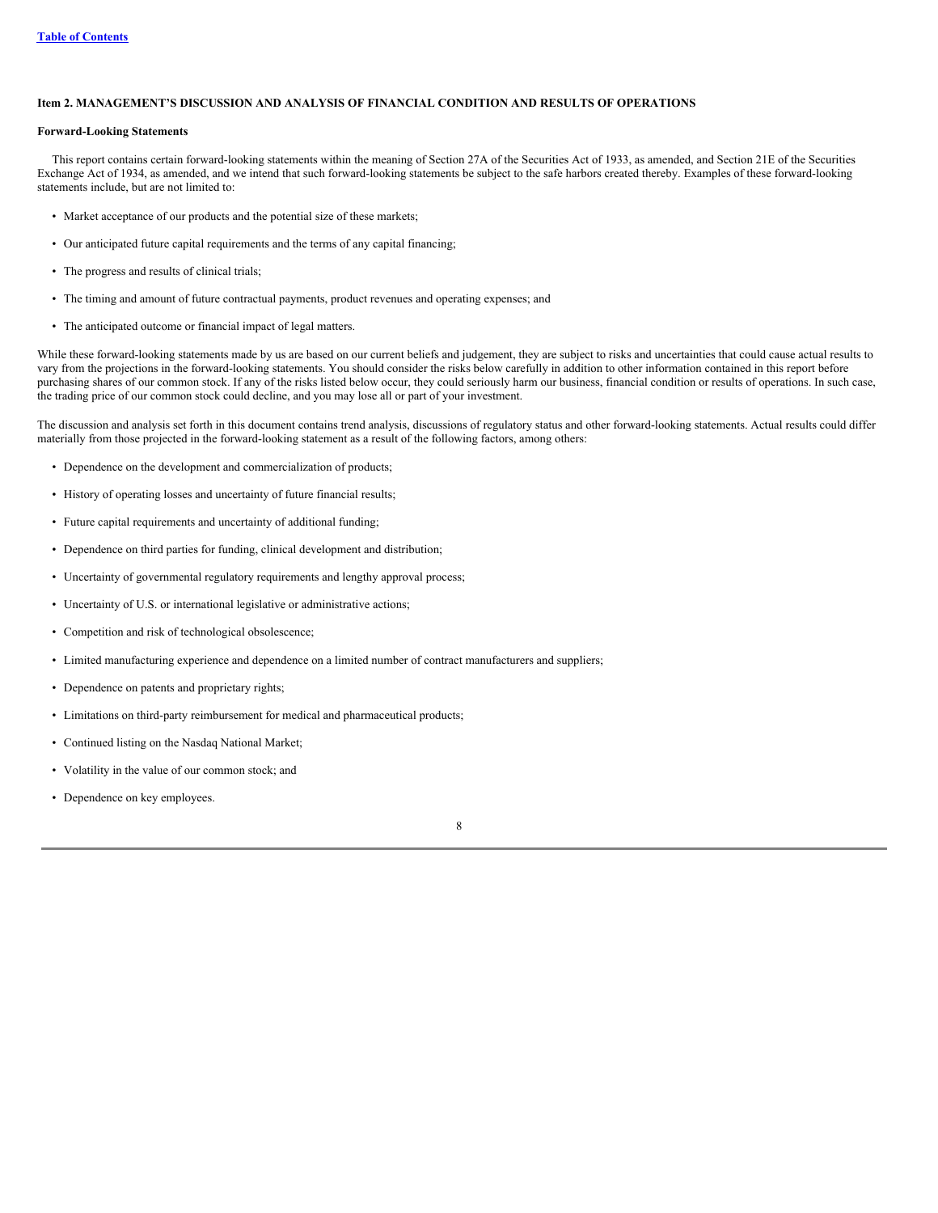# <span id="page-8-0"></span>**Item 2. MANAGEMENT'S DISCUSSION AND ANALYSIS OF FINANCIAL CONDITION AND RESULTS OF OPERATIONS**

#### **Forward-Looking Statements**

This report contains certain forward-looking statements within the meaning of Section 27A of the Securities Act of 1933, as amended, and Section 21E of the Securities Exchange Act of 1934, as amended, and we intend that such forward-looking statements be subject to the safe harbors created thereby. Examples of these forward-looking statements include, but are not limited to:

- Market acceptance of our products and the potential size of these markets;
- Our anticipated future capital requirements and the terms of any capital financing;
- The progress and results of clinical trials;
- The timing and amount of future contractual payments, product revenues and operating expenses; and
- The anticipated outcome or financial impact of legal matters.

While these forward-looking statements made by us are based on our current beliefs and judgement, they are subject to risks and uncertainties that could cause actual results to vary from the projections in the forward-looking statements. You should consider the risks below carefully in addition to other information contained in this report before purchasing shares of our common stock. If any of the risks listed below occur, they could seriously harm our business, financial condition or results of operations. In such case, the trading price of our common stock could decline, and you may lose all or part of your investment.

The discussion and analysis set forth in this document contains trend analysis, discussions of regulatory status and other forward-looking statements. Actual results could differ materially from those projected in the forward-looking statement as a result of the following factors, among others:

- Dependence on the development and commercialization of products;
- History of operating losses and uncertainty of future financial results;
- Future capital requirements and uncertainty of additional funding;
- Dependence on third parties for funding, clinical development and distribution;
- Uncertainty of governmental regulatory requirements and lengthy approval process;
- Uncertainty of U.S. or international legislative or administrative actions;
- Competition and risk of technological obsolescence;
- Limited manufacturing experience and dependence on a limited number of contract manufacturers and suppliers;
- Dependence on patents and proprietary rights;
- Limitations on third-party reimbursement for medical and pharmaceutical products;
- Continued listing on the Nasdaq National Market;
- Volatility in the value of our common stock; and
- Dependence on key employees.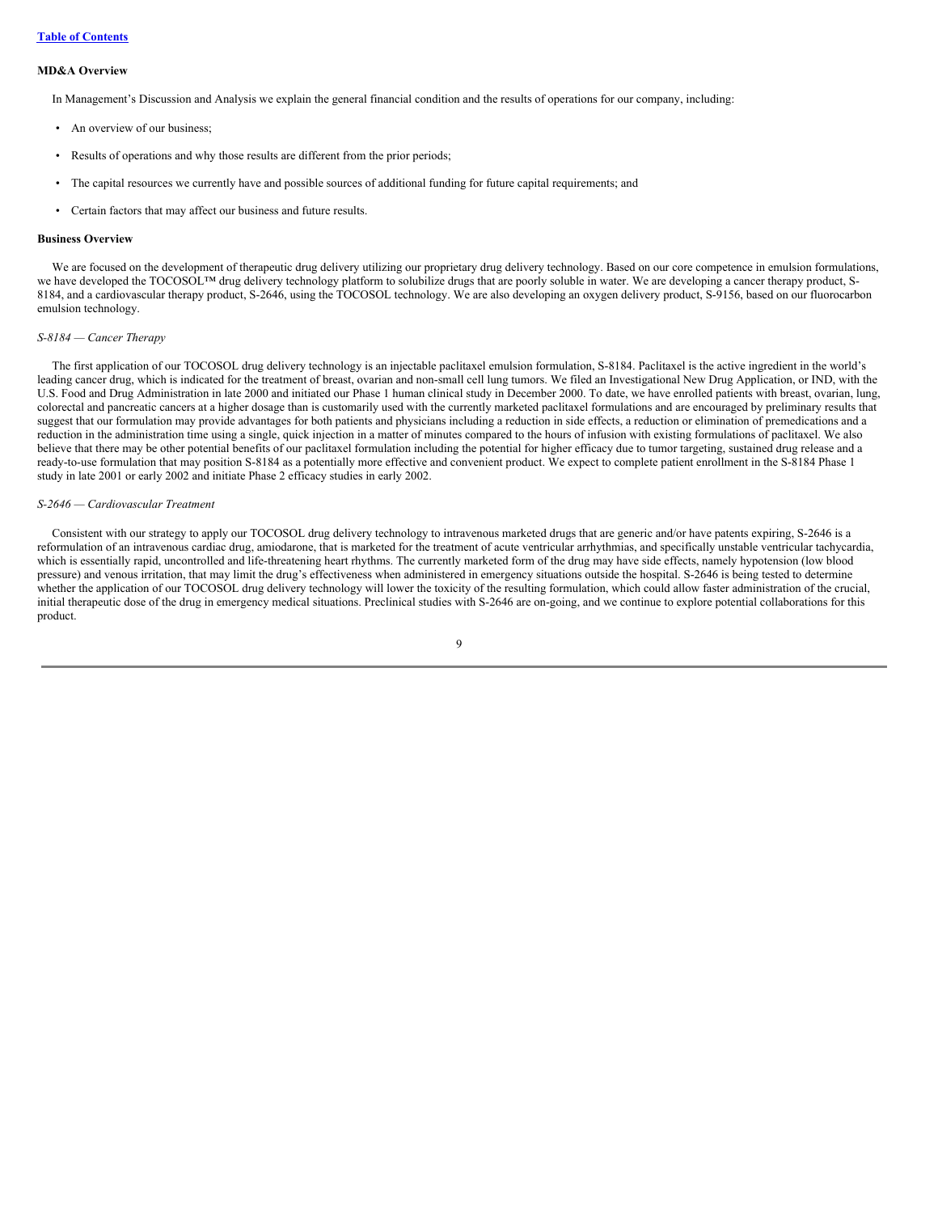#### **MD&A Overview**

In Management's Discussion and Analysis we explain the general financial condition and the results of operations for our company, including:

- An overview of our business;
- Results of operations and why those results are different from the prior periods;
- The capital resources we currently have and possible sources of additional funding for future capital requirements; and
- Certain factors that may affect our business and future results.

#### **Business Overview**

We are focused on the development of therapeutic drug delivery utilizing our proprietary drug delivery technology. Based on our core competence in emulsion formulations, we have developed the TOCOSOL™ drug delivery technology platform to solubilize drugs that are poorly soluble in water. We are developing a cancer therapy product, S-8184, and a cardiovascular therapy product, S-2646, using the TOCOSOL technology. We are also developing an oxygen delivery product, S-9156, based on our fluorocarbon emulsion technology.

#### *S-8184 — Cancer Therapy*

The first application of our TOCOSOL drug delivery technology is an injectable paclitaxel emulsion formulation, S-8184. Paclitaxel is the active ingredient in the world's leading cancer drug, which is indicated for the treatment of breast, ovarian and non-small cell lung tumors. We filed an Investigational New Drug Application, or IND, with the U.S. Food and Drug Administration in late 2000 and initiated our Phase 1 human clinical study in December 2000. To date, we have enrolled patients with breast, ovarian, lung, colorectal and pancreatic cancers at a higher dosage than is customarily used with the currently marketed paclitaxel formulations and are encouraged by preliminary results that suggest that our formulation may provide advantages for both patients and physicians including a reduction in side effects, a reduction or elimination of premedications and a reduction in the administration time using a single, quick injection in a matter of minutes compared to the hours of infusion with existing formulations of paclitaxel. We also believe that there may be other potential benefits of our paclitaxel formulation including the potential for higher efficacy due to tumor targeting, sustained drug release and a ready-to-use formulation that may position S-8184 as a potentially more effective and convenient product. We expect to complete patient enrollment in the S-8184 Phase 1 study in late 2001 or early 2002 and initiate Phase 2 efficacy studies in early 2002.

#### *S-2646 — Cardiovascular Treatment*

Consistent with our strategy to apply our TOCOSOL drug delivery technology to intravenous marketed drugs that are generic and/or have patents expiring, S-2646 is a reformulation of an intravenous cardiac drug, amiodarone, that is marketed for the treatment of acute ventricular arrhythmias, and specifically unstable ventricular tachycardia, which is essentially rapid, uncontrolled and life-threatening heart rhythms. The currently marketed form of the drug may have side effects, namely hypotension (low blood pressure) and venous irritation, that may limit the drug's effectiveness when administered in emergency situations outside the hospital. S-2646 is being tested to determine whether the application of our TOCOSOL drug delivery technology will lower the toxicity of the resulting formulation, which could allow faster administration of the crucial, initial therapeutic dose of the drug in emergency medical situations. Preclinical studies with S-2646 are on-going, and we continue to explore potential collaborations for this product.

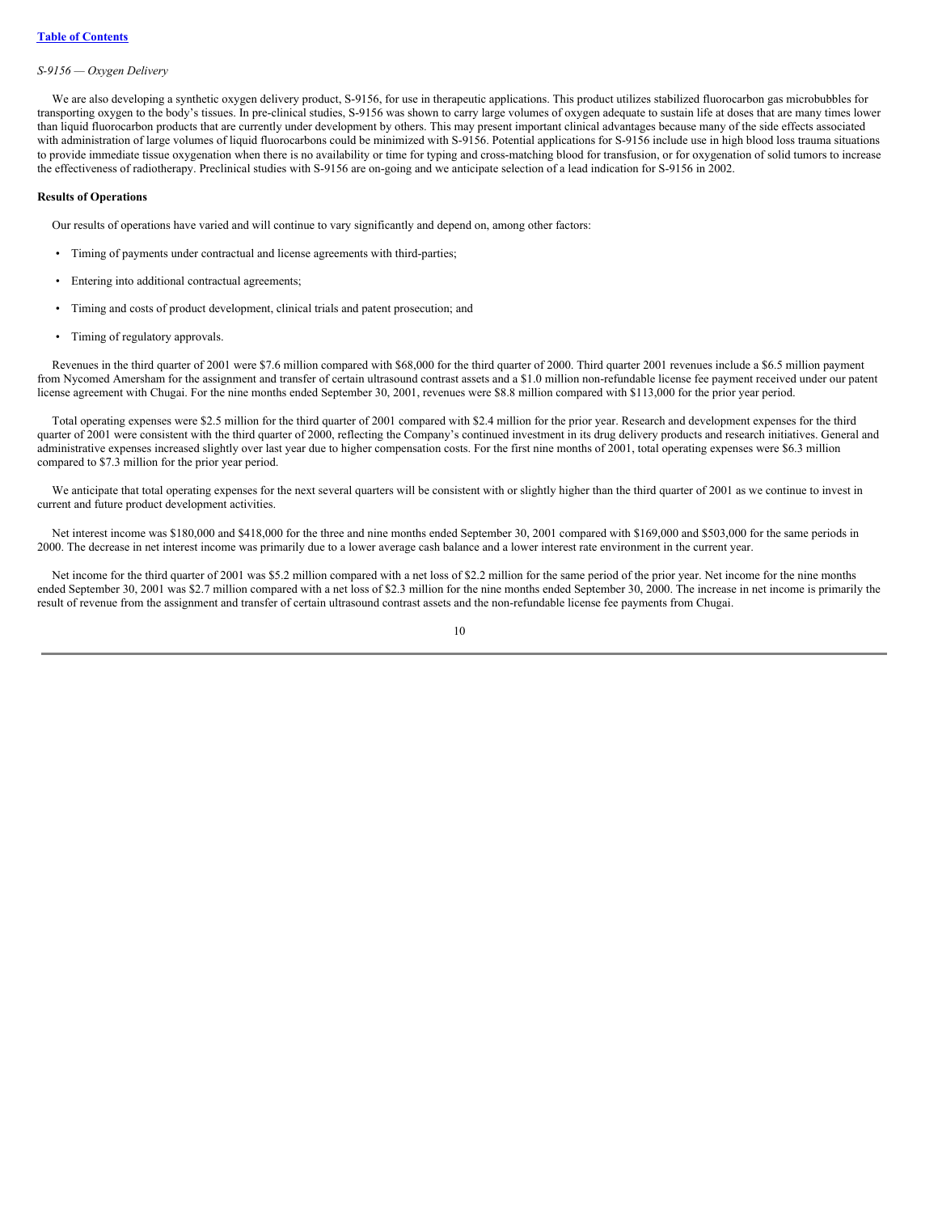#### *S-9156 — Oxygen Delivery*

We are also developing a synthetic oxygen delivery product, S-9156, for use in therapeutic applications. This product utilizes stabilized fluorocarbon gas microbubbles for transporting oxygen to the body's tissues. In pre-clinical studies, S-9156 was shown to carry large volumes of oxygen adequate to sustain life at doses that are many times lower than liquid fluorocarbon products that are currently under development by others. This may present important clinical advantages because many of the side effects associated with administration of large volumes of liquid fluorocarbons could be minimized with S-9156. Potential applications for S-9156 include use in high blood loss trauma situations to provide immediate tissue oxygenation when there is no availability or time for typing and cross-matching blood for transfusion, or for oxygenation of solid tumors to increase the effectiveness of radiotherapy. Preclinical studies with S-9156 are on-going and we anticipate selection of a lead indication for S-9156 in 2002.

#### **Results of Operations**

Our results of operations have varied and will continue to vary significantly and depend on, among other factors:

- Timing of payments under contractual and license agreements with third-parties;
- Entering into additional contractual agreements;
- Timing and costs of product development, clinical trials and patent prosecution; and
- Timing of regulatory approvals.

Revenues in the third quarter of 2001 were \$7.6 million compared with \$68,000 for the third quarter of 2000. Third quarter 2001 revenues include a \$6.5 million payment from Nycomed Amersham for the assignment and transfer of certain ultrasound contrast assets and a \$1.0 million non-refundable license fee payment received under our patent license agreement with Chugai. For the nine months ended September 30, 2001, revenues were \$8.8 million compared with \$113,000 for the prior year period.

Total operating expenses were \$2.5 million for the third quarter of 2001 compared with \$2.4 million for the prior year. Research and development expenses for the third quarter of 2001 were consistent with the third quarter of 2000, reflecting the Company's continued investment in its drug delivery products and research initiatives. General and administrative expenses increased slightly over last year due to higher compensation costs. For the first nine months of 2001, total operating expenses were \$6.3 million compared to \$7.3 million for the prior year period.

We anticipate that total operating expenses for the next several quarters will be consistent with or slightly higher than the third quarter of 2001 as we continue to invest in current and future product development activities.

Net interest income was \$180,000 and \$418,000 for the three and nine months ended September 30, 2001 compared with \$169,000 and \$503,000 for the same periods in 2000. The decrease in net interest income was primarily due to a lower average cash balance and a lower interest rate environment in the current year.

Net income for the third quarter of 2001 was \$5.2 million compared with a net loss of \$2.2 million for the same period of the prior year. Net income for the nine months ended September 30, 2001 was \$2.7 million compared with a net loss of \$2.3 million for the nine months ended September 30, 2000. The increase in net income is primarily the result of revenue from the assignment and transfer of certain ultrasound contrast assets and the non-refundable license fee payments from Chugai.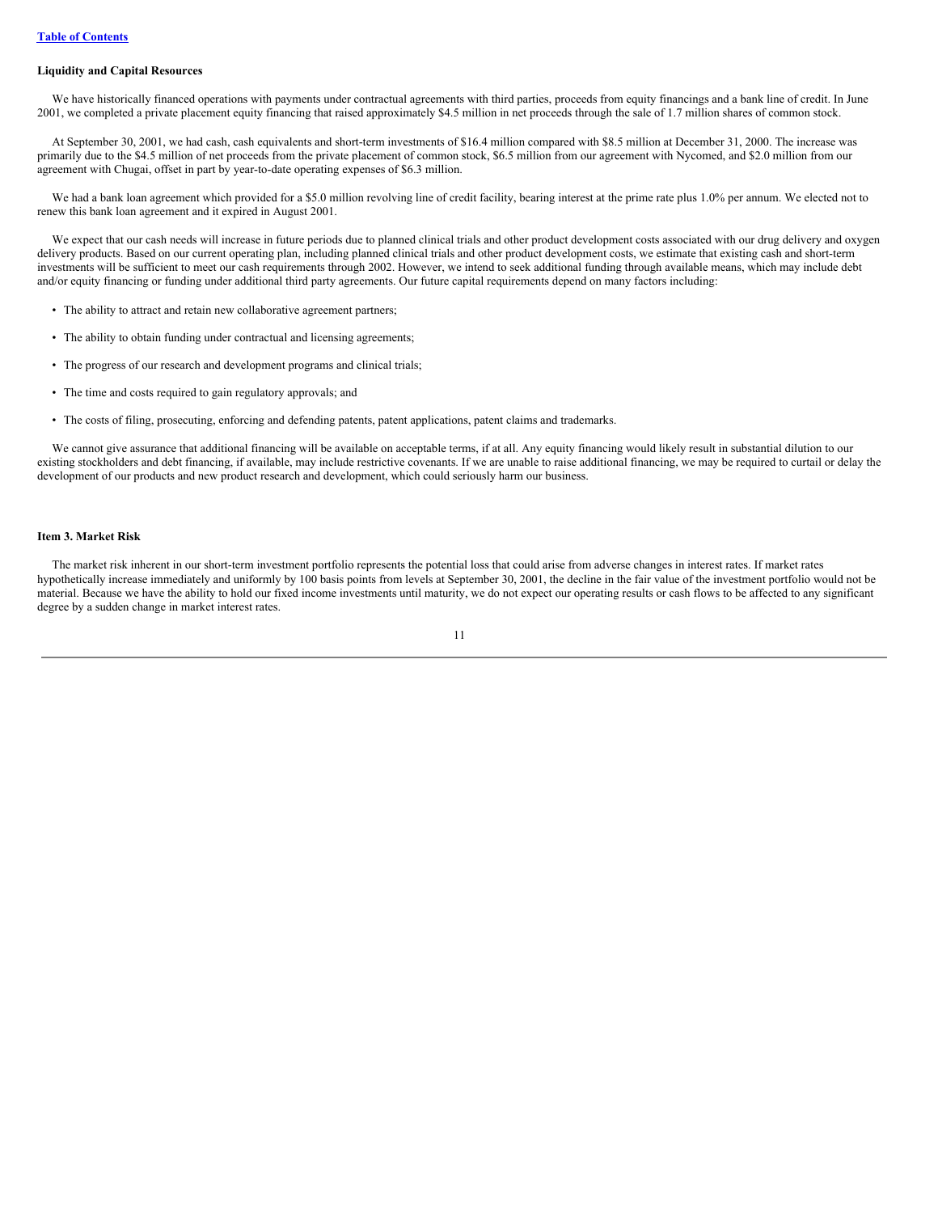#### **Liquidity and Capital Resources**

We have historically financed operations with payments under contractual agreements with third parties, proceeds from equity financings and a bank line of credit. In June 2001, we completed a private placement equity financing that raised approximately \$4.5 million in net proceeds through the sale of 1.7 million shares of common stock.

At September 30, 2001, we had cash, cash equivalents and short-term investments of \$16.4 million compared with \$8.5 million at December 31, 2000. The increase was primarily due to the \$4.5 million of net proceeds from the private placement of common stock, \$6.5 million from our agreement with Nycomed, and \$2.0 million from our agreement with Chugai, offset in part by year-to-date operating expenses of \$6.3 million.

We had a bank loan agreement which provided for a \$5.0 million revolving line of credit facility, bearing interest at the prime rate plus 1.0% per annum. We elected not to renew this bank loan agreement and it expired in August 2001.

We expect that our cash needs will increase in future periods due to planned clinical trials and other product development costs associated with our drug delivery and oxygen delivery products. Based on our current operating plan, including planned clinical trials and other product development costs, we estimate that existing cash and short-term investments will be sufficient to meet our cash requirements through 2002. However, we intend to seek additional funding through available means, which may include debt and/or equity financing or funding under additional third party agreements. Our future capital requirements depend on many factors including:

- The ability to attract and retain new collaborative agreement partners;
- The ability to obtain funding under contractual and licensing agreements;
- The progress of our research and development programs and clinical trials;
- The time and costs required to gain regulatory approvals; and
- The costs of filing, prosecuting, enforcing and defending patents, patent applications, patent claims and trademarks.

We cannot give assurance that additional financing will be available on acceptable terms, if at all. Any equity financing would likely result in substantial dilution to our existing stockholders and debt financing, if available, may include restrictive covenants. If we are unable to raise additional financing, we may be required to curtail or delay the development of our products and new product research and development, which could seriously harm our business.

#### <span id="page-11-0"></span>**Item 3. Market Risk**

The market risk inherent in our short-term investment portfolio represents the potential loss that could arise from adverse changes in interest rates. If market rates hypothetically increase immediately and uniformly by 100 basis points from levels at September 30, 2001, the decline in the fair value of the investment portfolio would not be material. Because we have the ability to hold our fixed income investments until maturity, we do not expect our operating results or cash flows to be affected to any significant degree by a sudden change in market interest rates.

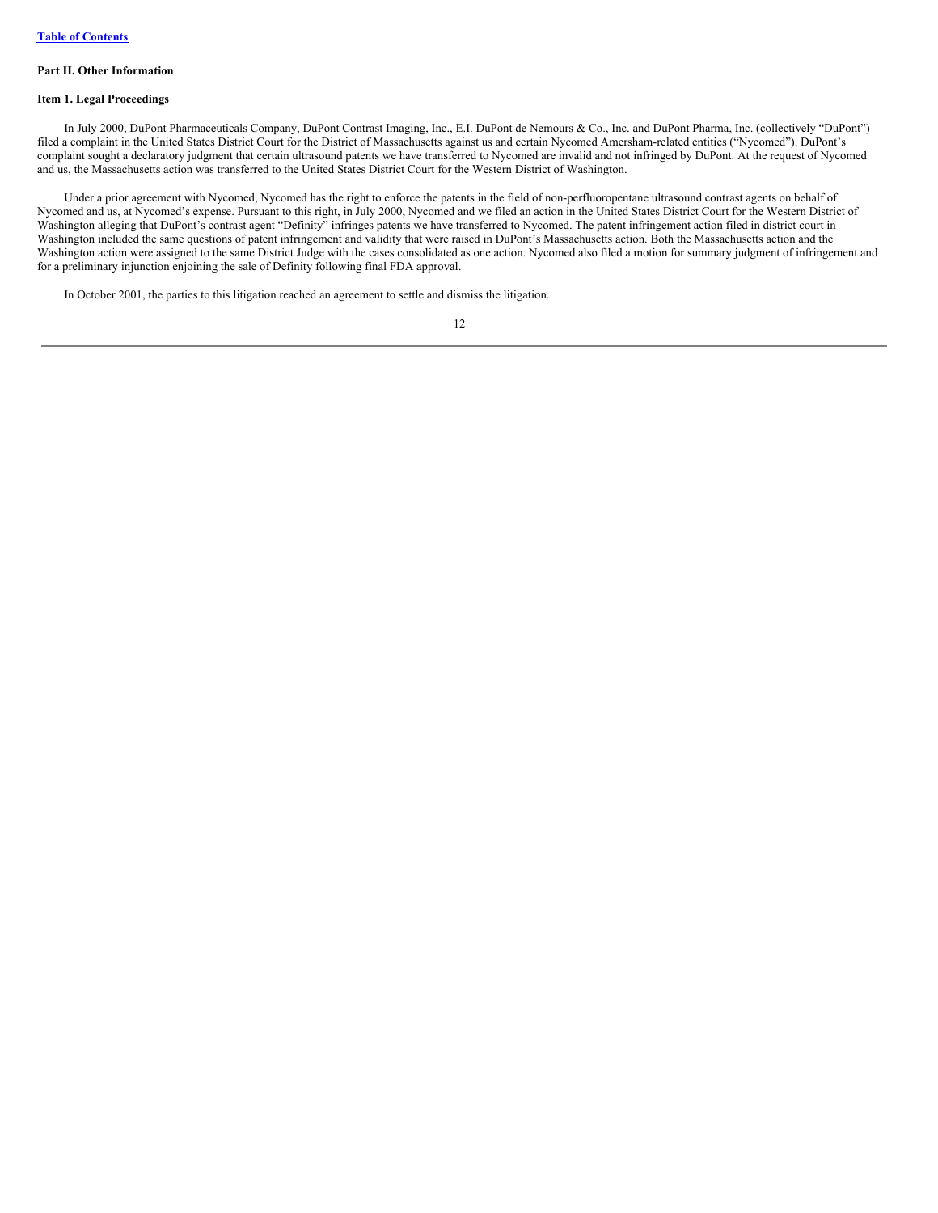#### **Part II. Other Information**

## **Item 1. Legal Proceedings**

In July 2000, DuPont Pharmaceuticals Company, DuPont Contrast Imaging, Inc., E.I. DuPont de Nemours & Co., Inc. and DuPont Pharma, Inc. (collectively "DuPont") filed a complaint in the United States District Court for the District of Massachusetts against us and certain Nycomed Amersham-related entities ("Nycomed"). DuPont's complaint sought a declaratory judgment that certain ultrasound patents we have transferred to Nycomed are invalid and not infringed by DuPont. At the request of Nycomed and us, the Massachusetts action was transferred to the United States District Court for the Western District of Washington.

Under a prior agreement with Nycomed, Nycomed has the right to enforce the patents in the field of non-perfluoropentane ultrasound contrast agents on behalf of Nycomed and us, at Nycomed's expense. Pursuant to this right, in July 2000, Nycomed and we filed an action in the United States District Court for the Western District of Washington alleging that DuPont's contrast agent "Definity" infringes patents we have transferred to Nycomed. The patent infringement action filed in district court in Washington included the same questions of patent infringement and validity that were raised in DuPont's Massachusetts action. Both the Massachusetts action and the Washington action were assigned to the same District Judge with the cases consolidated as one action. Nycomed also filed a motion for summary judgment of infringement and for a preliminary injunction enjoining the sale of Definity following final FDA approval.

In October 2001, the parties to this litigation reached an agreement to settle and dismiss the litigation.

| v |
|---|
|   |
|   |
|   |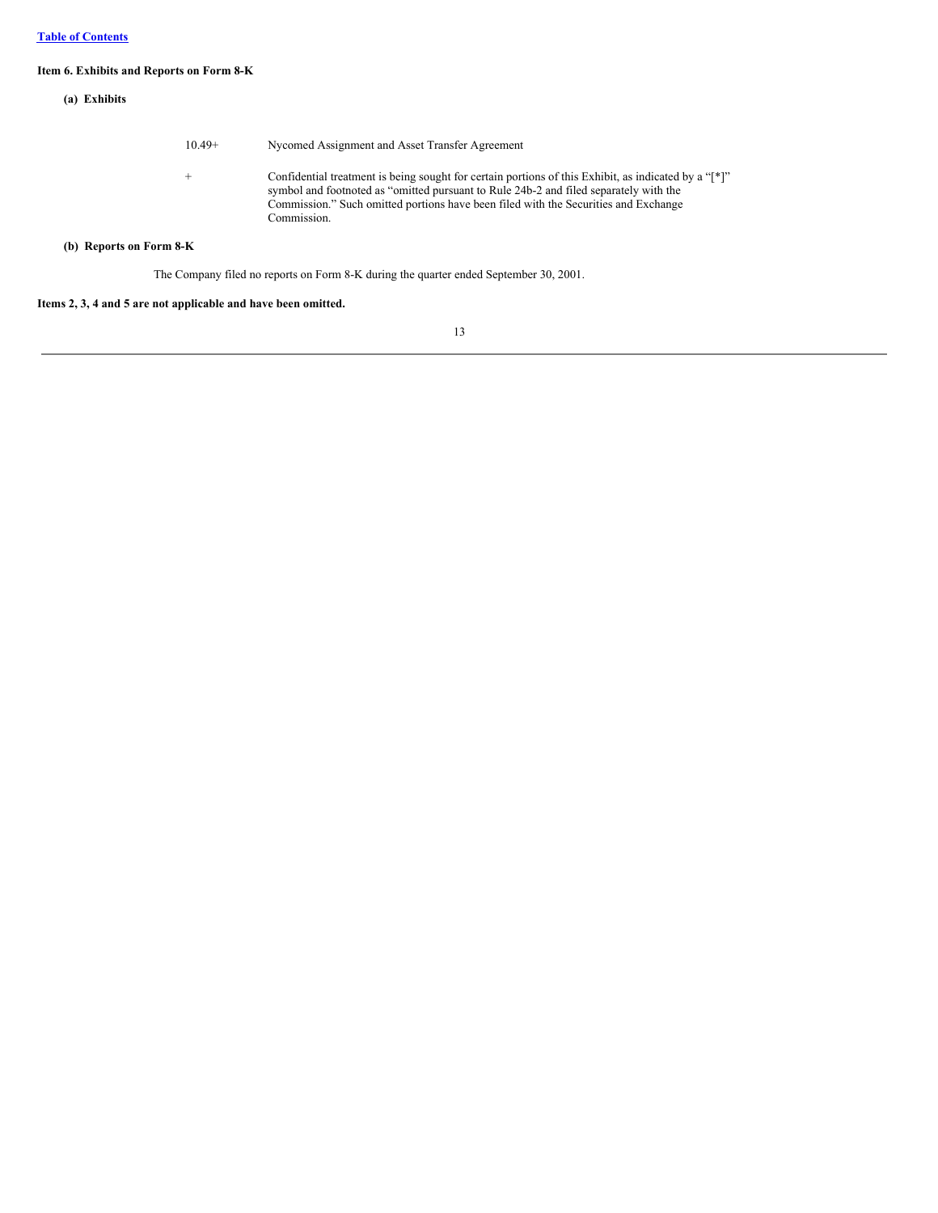# **Item 6. Exhibits and Reports on Form 8-K**

| (a) Exhibits            |          |                                                                                                                                                                                                                                                                                                     |
|-------------------------|----------|-----------------------------------------------------------------------------------------------------------------------------------------------------------------------------------------------------------------------------------------------------------------------------------------------------|
|                         | $10.49+$ | Nycomed Assignment and Asset Transfer Agreement                                                                                                                                                                                                                                                     |
|                         | $^{+}$   | Confidential treatment is being sought for certain portions of this Exhibit, as indicated by a "[*]"<br>symbol and footnoted as "omitted pursuant to Rule 24b-2 and filed separately with the<br>Commission." Such omitted portions have been filed with the Securities and Exchange<br>Commission. |
| (b) Reports on Form 8-K |          |                                                                                                                                                                                                                                                                                                     |

The Company filed no reports on Form 8-K during the quarter ended September 30, 2001.

# **Items 2, 3, 4 and 5 are not applicable and have been omitted.**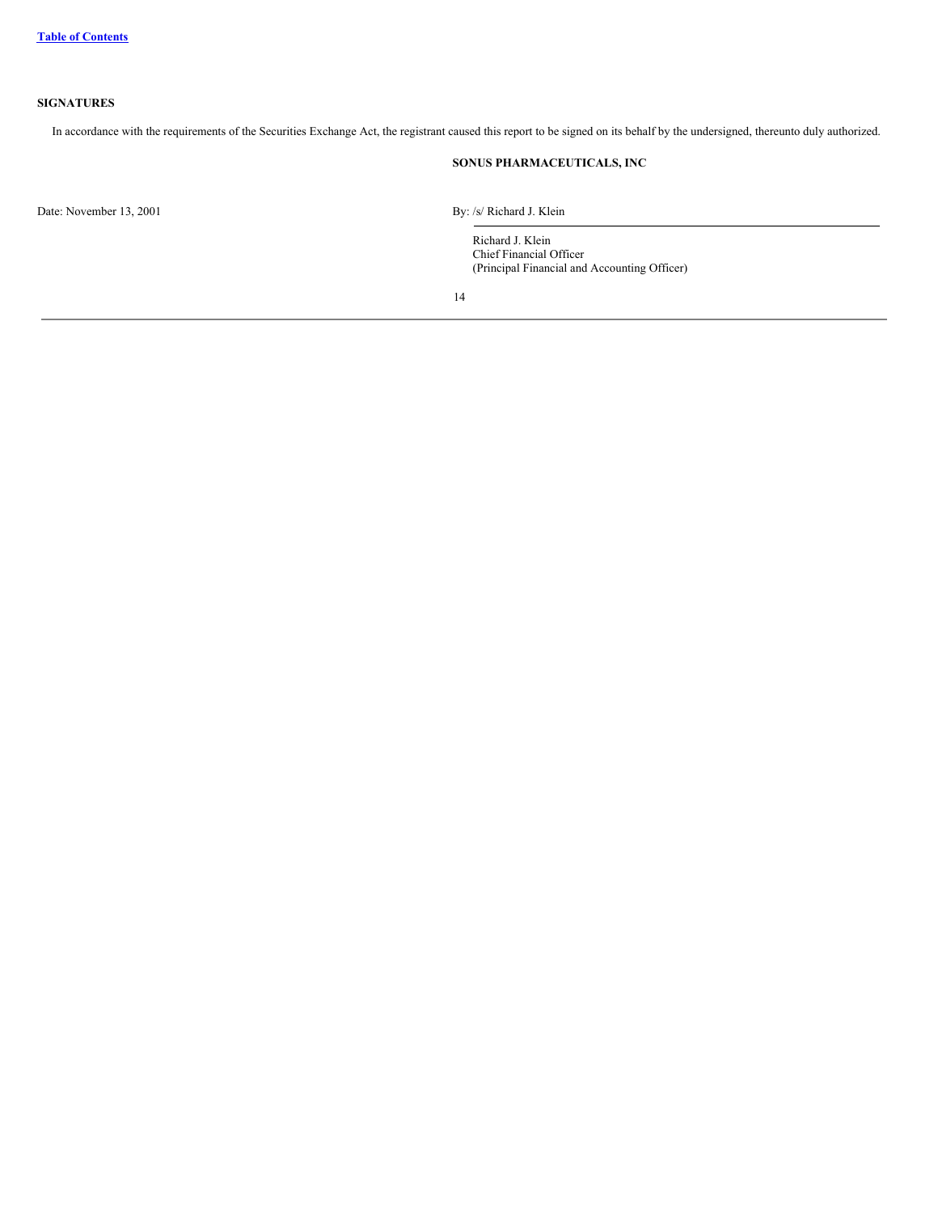# <span id="page-14-0"></span>**SIGNATURES**

In accordance with the requirements of the Securities Exchange Act, the registrant caused this report to be signed on its behalf by the undersigned, thereunto duly authorized.

# **SONUS PHARMACEUTICALS, INC**

Date: November 13, 2001 By: /s/ Richard J. Klein

Richard J. Klein Chief Financial Officer (Principal Financial and Accounting Officer)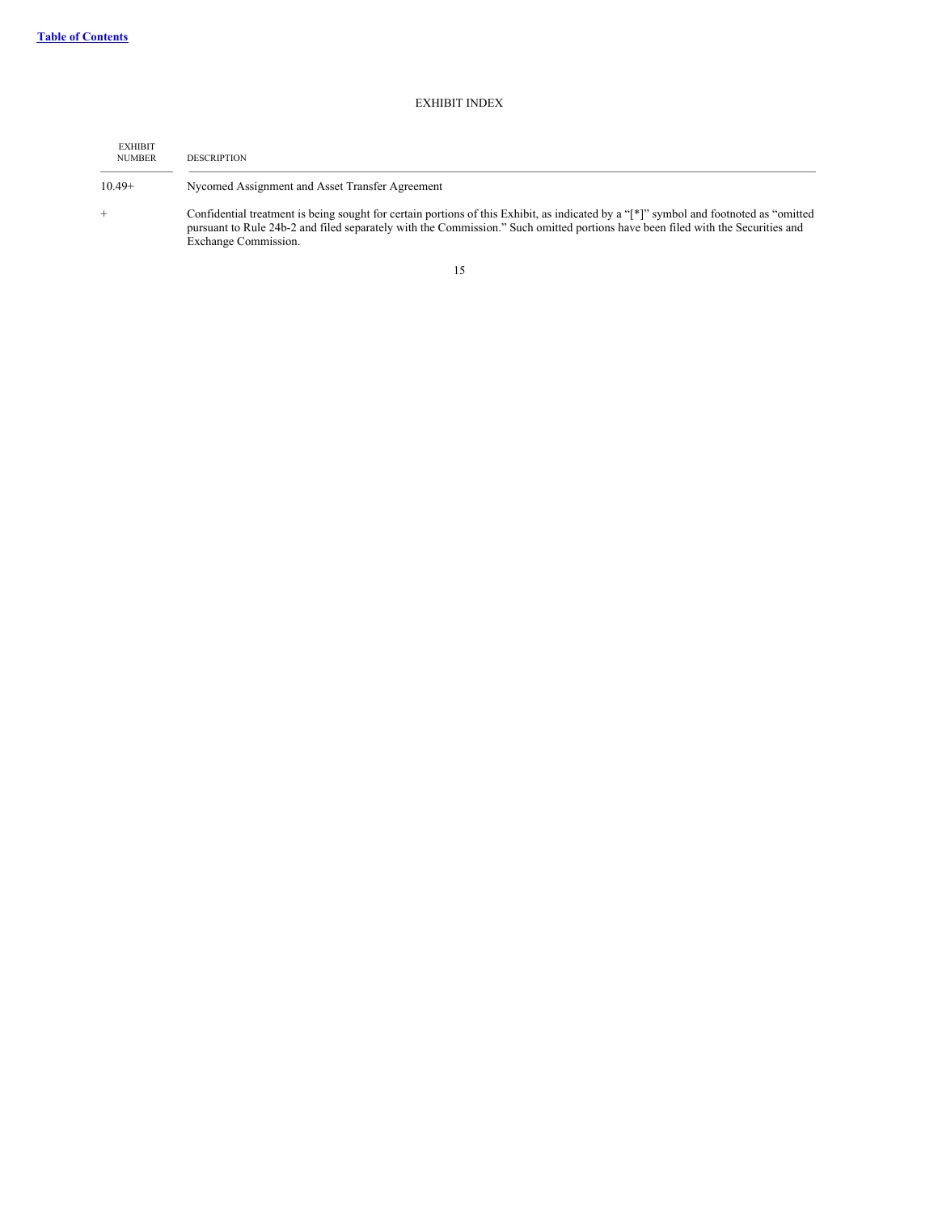# EXHIBIT INDEX

<span id="page-15-0"></span>

| <b>EXHIBIT</b><br><b>NUMBER</b> | <b>DESCRIPTION</b>                                                                                                                                                                                                                                                                                |
|---------------------------------|---------------------------------------------------------------------------------------------------------------------------------------------------------------------------------------------------------------------------------------------------------------------------------------------------|
| $10.49+$                        | Nycomed Assignment and Asset Transfer Agreement                                                                                                                                                                                                                                                   |
|                                 | Confidential treatment is being sought for certain portions of this Exhibit, as indicated by a "[*]" symbol and footnoted as "omitted"<br>pursuant to Rule 24b-2 and filed separately with the Commission." Such omitted portions have been filed with the Securities and<br>Exchange Commission. |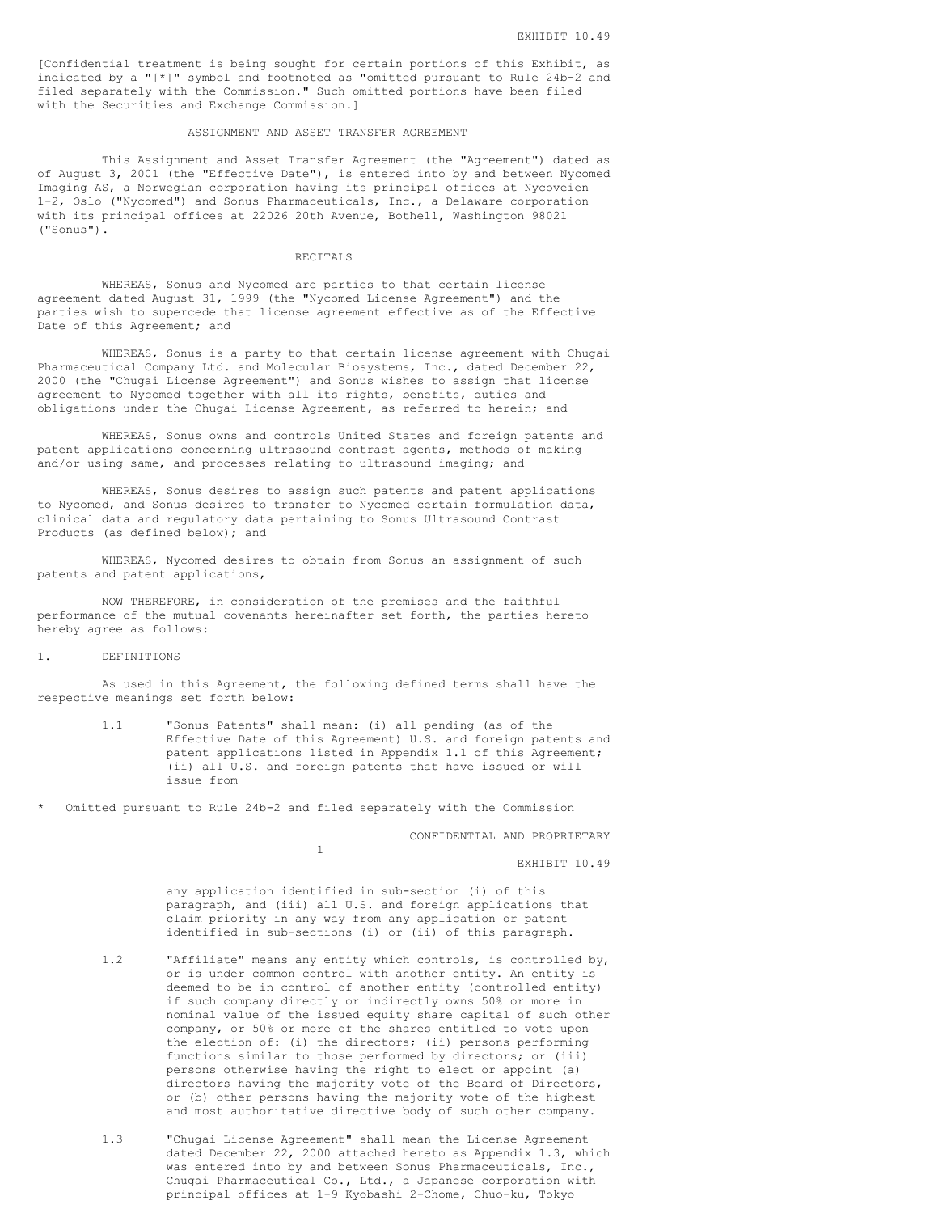[Confidential treatment is being sought for certain portions of this Exhibit, as indicated by a "[\*]" symbol and footnoted as "omitted pursuant to Rule 24b-2 and filed separately with the Commission." Such omitted portions have been filed with the Securities and Exchange Commission.]

#### ASSIGNMENT AND ASSET TRANSFER AGREEMENT

This Assignment and Asset Transfer Agreement (the "Agreement") dated as of August 3, 2001 (the "Effective Date"), is entered into by and between Nycomed Imaging AS, a Norwegian corporation having its principal offices at Nycoveien 1-2, Oslo ("Nycomed") and Sonus Pharmaceuticals, Inc., a Delaware corporation with its principal offices at 22026 20th Avenue, Bothell, Washington 98021 ("Sonus").

#### RECITALS

WHEREAS, Sonus and Nycomed are parties to that certain license agreement dated August 31, 1999 (the "Nycomed License Agreement") and the parties wish to supercede that license agreement effective as of the Effective Date of this Agreement; and

WHEREAS, Sonus is a party to that certain license agreement with Chugai Pharmaceutical Company Ltd. and Molecular Biosystems, Inc., dated December 22, 2000 (the "Chugai License Agreement") and Sonus wishes to assign that license agreement to Nycomed together with all its rights, benefits, duties and obligations under the Chugai License Agreement, as referred to herein; and

WHEREAS, Sonus owns and controls United States and foreign patents and patent applications concerning ultrasound contrast agents, methods of making and/or using same, and processes relating to ultrasound imaging; and

WHEREAS, Sonus desires to assign such patents and patent applications to Nycomed, and Sonus desires to transfer to Nycomed certain formulation data, clinical data and regulatory data pertaining to Sonus Ultrasound Contrast Products (as defined below); and

WHEREAS, Nycomed desires to obtain from Sonus an assignment of such patents and patent applications,

NOW THEREFORE, in consideration of the premises and the faithful performance of the mutual covenants hereinafter set forth, the parties hereto hereby agree as follows:

#### 1. DEFINITIONS

As used in this Agreement, the following defined terms shall have the respective meanings set forth below:

- 1.1 "Sonus Patents" shall mean: (i) all pending (as of the Effective Date of this Agreement) U.S. and foreign patents and patent applications listed in Appendix 1.1 of this Agreement; (ii) all U.S. and foreign patents that have issued or will issue from
- Omitted pursuant to Rule 24b-2 and filed separately with the Commission

1

CONFIDENTIAL AND PROPRIETARY

EXHIBIT 10.49

any application identified in sub-section (i) of this paragraph, and (iii) all U.S. and foreign applications that claim priority in any way from any application or patent identified in sub-sections (i) or (ii) of this paragraph.

- 1.2 "Affiliate" means any entity which controls, is controlled by, or is under common control with another entity. An entity is deemed to be in control of another entity (controlled entity) if such company directly or indirectly owns 50% or more in nominal value of the issued equity share capital of such other company, or 50% or more of the shares entitled to vote upon the election of: (i) the directors; (ii) persons performing functions similar to those performed by directors; or (iii) persons otherwise having the right to elect or appoint (a) directors having the majority vote of the Board of Directors, or (b) other persons having the majority vote of the highest and most authoritative directive body of such other company.
- 1.3 "Chugai License Agreement" shall mean the License Agreement dated December 22, 2000 attached hereto as Appendix 1.3, which was entered into by and between Sonus Pharmaceuticals, Inc., Chugai Pharmaceutical Co., Ltd., a Japanese corporation with principal offices at 1-9 Kyobashi 2-Chome, Chuo-ku, Tokyo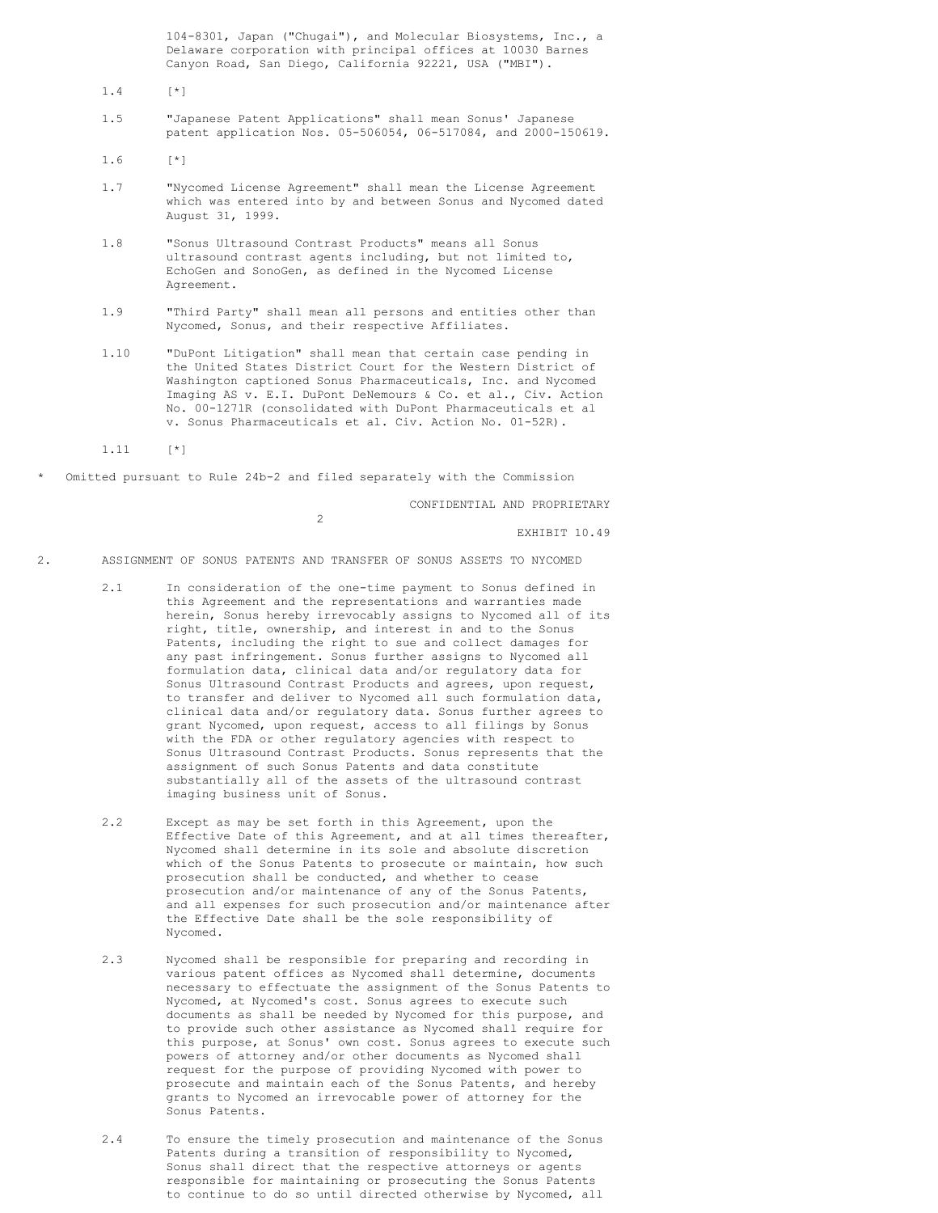104-8301, Japan ("Chugai"), and Molecular Biosystems, Inc., a Delaware corporation with principal offices at 10030 Barnes Canyon Road, San Diego, California 92221, USA ("MBI").

1.4 [\*]

1.5 "Japanese Patent Applications" shall mean Sonus' Japanese patent application Nos. 05-506054, 06-517084, and 2000-150619.

1.6 [\*]

- 1.7 "Nycomed License Agreement" shall mean the License Agreement which was entered into by and between Sonus and Nycomed dated August 31, 1999.
- 1.8 "Sonus Ultrasound Contrast Products" means all Sonus ultrasound contrast agents including, but not limited to, EchoGen and SonoGen, as defined in the Nycomed License Agreement.
- 1.9 "Third Party" shall mean all persons and entities other than Nycomed, Sonus, and their respective Affiliates.
- 1.10 "DuPont Litigation" shall mean that certain case pending in the United States District Court for the Western District of Washington captioned Sonus Pharmaceuticals, Inc. and Nycomed Imaging AS v. E.I. DuPont DeNemours & Co. et al., Civ. Action No. 00-1271R (consolidated with DuPont Pharmaceuticals et al v. Sonus Pharmaceuticals et al. Civ. Action No. 01-52R).

1.11 [\*]

Omitted pursuant to Rule 24b-2 and filed separately with the Commission

 $\overline{2}$ 

CONFIDENTIAL AND PROPRIETARY

EXHIBIT 10.49

- 2. ASSIGNMENT OF SONUS PATENTS AND TRANSFER OF SONUS ASSETS TO NYCOMED
	- 2.1 In consideration of the one-time payment to Sonus defined in this Agreement and the representations and warranties made herein, Sonus hereby irrevocably assigns to Nycomed all of its right, title, ownership, and interest in and to the Sonus Patents, including the right to sue and collect damages for any past infringement. Sonus further assigns to Nycomed all formulation data, clinical data and/or regulatory data for Sonus Ultrasound Contrast Products and agrees, upon request, to transfer and deliver to Nycomed all such formulation data, clinical data and/or regulatory data. Sonus further agrees to grant Nycomed, upon request, access to all filings by Sonus with the FDA or other regulatory agencies with respect to Sonus Ultrasound Contrast Products. Sonus represents that the assignment of such Sonus Patents and data constitute substantially all of the assets of the ultrasound contrast imaging business unit of Sonus.
	- 2.2 Except as may be set forth in this Agreement, upon the Effective Date of this Agreement, and at all times thereafter, Nycomed shall determine in its sole and absolute discretion which of the Sonus Patents to prosecute or maintain, how such prosecution shall be conducted, and whether to cease prosecution and/or maintenance of any of the Sonus Patents, and all expenses for such prosecution and/or maintenance after the Effective Date shall be the sole responsibility of Nycomed.
	- 2.3 Nycomed shall be responsible for preparing and recording in various patent offices as Nycomed shall determine, documents necessary to effectuate the assignment of the Sonus Patents to Nycomed, at Nycomed's cost. Sonus agrees to execute such documents as shall be needed by Nycomed for this purpose, and to provide such other assistance as Nycomed shall require for this purpose, at Sonus' own cost. Sonus agrees to execute such powers of attorney and/or other documents as Nycomed shall request for the purpose of providing Nycomed with power to prosecute and maintain each of the Sonus Patents, and hereby grants to Nycomed an irrevocable power of attorney for the Sonus Patents.
	- 2.4 To ensure the timely prosecution and maintenance of the Sonus Patents during a transition of responsibility to Nycomed, Sonus shall direct that the respective attorneys or agents responsible for maintaining or prosecuting the Sonus Patents to continue to do so until directed otherwise by Nycomed, all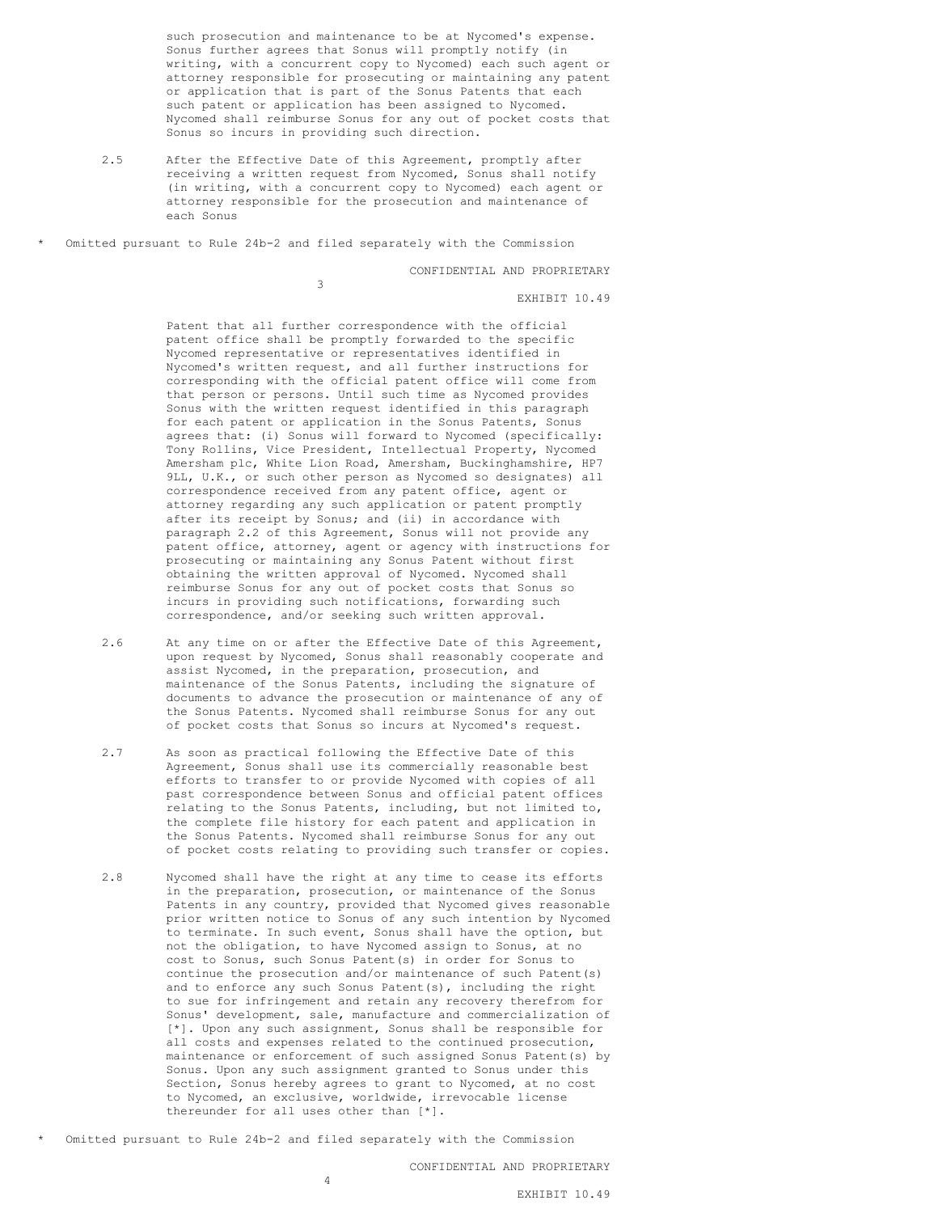such prosecution and maintenance to be at Nycomed's expense. Sonus further agrees that Sonus will promptly notify (in writing, with a concurrent copy to Nycomed) each such agent or attorney responsible for prosecuting or maintaining any patent or application that is part of the Sonus Patents that each such patent or application has been assigned to Nycomed. Nycomed shall reimburse Sonus for any out of pocket costs that Sonus so incurs in providing such direction.

2.5 After the Effective Date of this Agreement, promptly after receiving a written request from Nycomed, Sonus shall notify (in writing, with a concurrent copy to Nycomed) each agent or attorney responsible for the prosecution and maintenance of each Sonus

Omitted pursuant to Rule 24b-2 and filed separately with the Commission

3

CONFIDENTIAL AND PROPRIETARY

EXHIBIT 10.49

Patent that all further correspondence with the official patent office shall be promptly forwarded to the specific Nycomed representative or representatives identified in Nycomed's written request, and all further instructions for corresponding with the official patent office will come from that person or persons. Until such time as Nycomed provides Sonus with the written request identified in this paragraph for each patent or application in the Sonus Patents, Sonus agrees that: (i) Sonus will forward to Nycomed (specifically: Tony Rollins, Vice President, Intellectual Property, Nycomed Amersham plc, White Lion Road, Amersham, Buckinghamshire, HP7 9LL, U.K., or such other person as Nycomed so designates) all correspondence received from any patent office, agent or attorney regarding any such application or patent promptly after its receipt by Sonus; and (ii) in accordance with paragraph 2.2 of this Agreement, Sonus will not provide any patent office, attorney, agent or agency with instructions for prosecuting or maintaining any Sonus Patent without first obtaining the written approval of Nycomed. Nycomed shall reimburse Sonus for any out of pocket costs that Sonus so incurs in providing such notifications, forwarding such correspondence, and/or seeking such written approval.

- 2.6 At any time on or after the Effective Date of this Agreement, upon request by Nycomed, Sonus shall reasonably cooperate and assist Nycomed, in the preparation, prosecution, and maintenance of the Sonus Patents, including the signature of documents to advance the prosecution or maintenance of any of the Sonus Patents. Nycomed shall reimburse Sonus for any out of pocket costs that Sonus so incurs at Nycomed's request.
- 2.7 As soon as practical following the Effective Date of this Agreement, Sonus shall use its commercially reasonable best efforts to transfer to or provide Nycomed with copies of all past correspondence between Sonus and official patent offices relating to the Sonus Patents, including, but not limited to, the complete file history for each patent and application in the Sonus Patents. Nycomed shall reimburse Sonus for any out of pocket costs relating to providing such transfer or copies.
- 2.8 Nycomed shall have the right at any time to cease its efforts in the preparation, prosecution, or maintenance of the Sonus Patents in any country, provided that Nycomed gives reasonable prior written notice to Sonus of any such intention by Nycomed to terminate. In such event, Sonus shall have the option, but not the obligation, to have Nycomed assign to Sonus, at no cost to Sonus, such Sonus Patent(s) in order for Sonus to continue the prosecution and/or maintenance of such Patent(s) and to enforce any such Sonus Patent(s), including the right to sue for infringement and retain any recovery therefrom for Sonus' development, sale, manufacture and commercialization of [\*]. Upon any such assignment, Sonus shall be responsible for all costs and expenses related to the continued prosecution, maintenance or enforcement of such assigned Sonus Patent(s) by Sonus. Upon any such assignment granted to Sonus under this Section, Sonus hereby agrees to grant to Nycomed, at no cost to Nycomed, an exclusive, worldwide, irrevocable license thereunder for all uses other than [\*].
- Omitted pursuant to Rule 24b-2 and filed separately with the Commission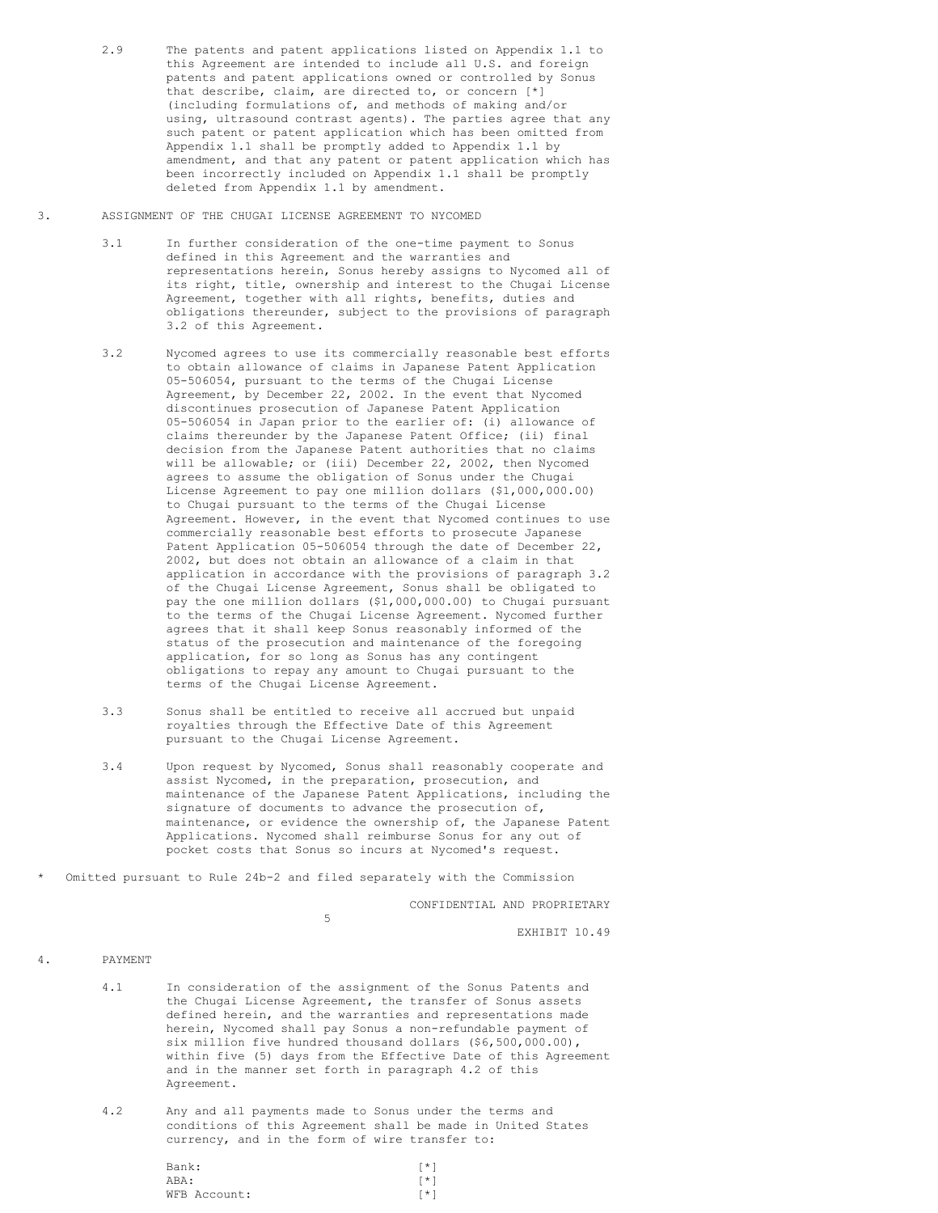- 2.9 The patents and patent applications listed on Appendix 1.1 to this Agreement are intended to include all U.S. and foreign patents and patent applications owned or controlled by Sonus that describe, claim, are directed to, or concern [\*] (including formulations of, and methods of making and/or using, ultrasound contrast agents). The parties agree that any such patent or patent application which has been omitted from Appendix 1.1 shall be promptly added to Appendix 1.1 by amendment, and that any patent or patent application which has been incorrectly included on Appendix 1.1 shall be promptly deleted from Appendix 1.1 by amendment.
- 3. ASSIGNMENT OF THE CHUGAI LICENSE AGREEMENT TO NYCOMED
	- 3.1 In further consideration of the one-time payment to Sonus defined in this Agreement and the warranties and representations herein, Sonus hereby assigns to Nycomed all of its right, title, ownership and interest to the Chugai License Agreement, together with all rights, benefits, duties and obligations thereunder, subject to the provisions of paragraph 3.2 of this Agreement.
	- 3.2 Nycomed agrees to use its commercially reasonable best efforts to obtain allowance of claims in Japanese Patent Application 05-506054, pursuant to the terms of the Chugai License Agreement, by December 22, 2002. In the event that Nycomed discontinues prosecution of Japanese Patent Application 05-506054 in Japan prior to the earlier of: (i) allowance of claims thereunder by the Japanese Patent Office; (ii) final decision from the Japanese Patent authorities that no claims will be allowable; or (iii) December 22, 2002, then Nycomed agrees to assume the obligation of Sonus under the Chugai License Agreement to pay one million dollars (\$1,000,000.00) to Chugai pursuant to the terms of the Chugai License Agreement. However, in the event that Nycomed continues to use commercially reasonable best efforts to prosecute Japanese Patent Application 05-506054 through the date of December 22, 2002, but does not obtain an allowance of a claim in that application in accordance with the provisions of paragraph 3.2 of the Chugai License Agreement, Sonus shall be obligated to pay the one million dollars (\$1,000,000.00) to Chugai pursuant to the terms of the Chugai License Agreement. Nycomed further agrees that it shall keep Sonus reasonably informed of the status of the prosecution and maintenance of the foregoing application, for so long as Sonus has any contingent obligations to repay any amount to Chugai pursuant to the terms of the Chugai License Agreement.
	- 3.3 Sonus shall be entitled to receive all accrued but unpaid royalties through the Effective Date of this Agreement pursuant to the Chugai License Agreement.
	- 3.4 Upon request by Nycomed, Sonus shall reasonably cooperate and assist Nycomed, in the preparation, prosecution, and maintenance of the Japanese Patent Applications, including the signature of documents to advance the prosecution of, maintenance, or evidence the ownership of, the Japanese Patent Applications. Nycomed shall reimburse Sonus for any out of pocket costs that Sonus so incurs at Nycomed's request.
- Omitted pursuant to Rule 24b-2 and filed separately with the Commission

CONFIDENTIAL AND PROPRIETARY

5

EXHIBIT 10.49

# 4. PAYMENT

- 4.1 In consideration of the assignment of the Sonus Patents and the Chugai License Agreement, the transfer of Sonus assets defined herein, and the warranties and representations made herein, Nycomed shall pay Sonus a non-refundable payment of six million five hundred thousand dollars (\$6,500,000.00), within five (5) days from the Effective Date of this Agreement and in the manner set forth in paragraph 4.2 of this Agreement.
- 4.2 Any and all payments made to Sonus under the terms and conditions of this Agreement shall be made in United States currency, and in the form of wire transfer to:

| Bank:        | $\lceil * \rceil$ |
|--------------|-------------------|
| ABA:         | $\lceil * \rceil$ |
| WFB Account: | $\lceil * \rceil$ |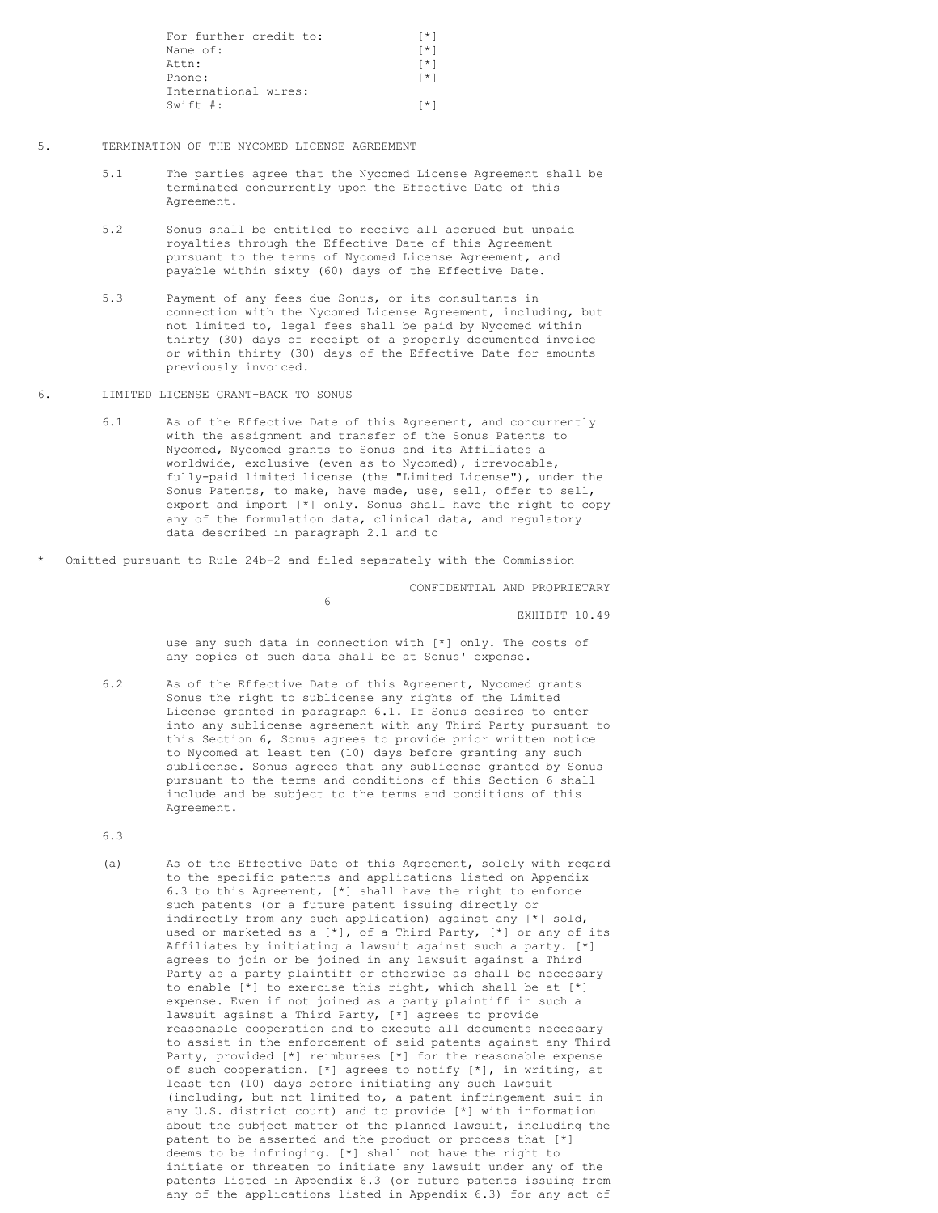| For further credit to: | $\lceil * \rceil$ |
|------------------------|-------------------|
| Name of:               | $\lceil * \rceil$ |
| Attn:                  | $\lceil * \rceil$ |
| Phone:                 | $\lceil * \rceil$ |
| International wires:   |                   |
| Swift $\#$ :           | $\lceil * \rceil$ |

- 5. TERMINATION OF THE NYCOMED LICENSE AGREEMENT
	- 5.1 The parties agree that the Nycomed License Agreement shall be terminated concurrently upon the Effective Date of this Agreement.
	- 5.2 Sonus shall be entitled to receive all accrued but unpaid royalties through the Effective Date of this Agreement pursuant to the terms of Nycomed License Agreement, and payable within sixty (60) days of the Effective Date.
	- 5.3 Payment of any fees due Sonus, or its consultants in connection with the Nycomed License Agreement, including, but not limited to, legal fees shall be paid by Nycomed within thirty (30) days of receipt of a properly documented invoice or within thirty (30) days of the Effective Date for amounts previously invoiced.
- 6. LIMITED LICENSE GRANT-BACK TO SONUS
	- 6.1 As of the Effective Date of this Agreement, and concurrently with the assignment and transfer of the Sonus Patents to Nycomed, Nycomed grants to Sonus and its Affiliates a worldwide, exclusive (even as to Nycomed), irrevocable, fully-paid limited license (the "Limited License"), under the Sonus Patents, to make, have made, use, sell, offer to sell, export and import [\*] only. Sonus shall have the right to copy any of the formulation data, clinical data, and regulatory data described in paragraph 2.1 and to
- Omitted pursuant to Rule 24b-2 and filed separately with the Commission

6

CONFIDENTIAL AND PROPRIETARY

EXHIBIT 10.49

use any such data in connection with [\*] only. The costs of any copies of such data shall be at Sonus' expense.

- 6.2 As of the Effective Date of this Agreement, Nycomed grants Sonus the right to sublicense any rights of the Limited License granted in paragraph 6.1. If Sonus desires to enter into any sublicense agreement with any Third Party pursuant to this Section 6, Sonus agrees to provide prior written notice to Nycomed at least ten (10) days before granting any such sublicense. Sonus agrees that any sublicense granted by Sonus pursuant to the terms and conditions of this Section 6 shall include and be subject to the terms and conditions of this Agreement.
- 6.3
- (a) As of the Effective Date of this Agreement, solely with regard to the specific patents and applications listed on Appendix 6.3 to this Agreement, [\*] shall have the right to enforce such patents (or a future patent issuing directly or indirectly from any such application) against any [\*] sold, used or marketed as a [\*], of a Third Party, [\*] or any of its Affiliates by initiating a lawsuit against such a party. [\*] agrees to join or be joined in any lawsuit against a Third Party as a party plaintiff or otherwise as shall be necessary to enable  $\begin{bmatrix} \star \end{bmatrix}$  to exercise this right, which shall be at  $\begin{bmatrix} \star \end{bmatrix}$ expense. Even if not joined as a party plaintiff in such a lawsuit against a Third Party, [\*] agrees to provide reasonable cooperation and to execute all documents necessary to assist in the enforcement of said patents against any Third Party, provided [\*] reimburses [\*] for the reasonable expense of such cooperation. [\*] agrees to notify [\*], in writing, at least ten (10) days before initiating any such lawsuit (including, but not limited to, a patent infringement suit in any U.S. district court) and to provide [\*] with information about the subject matter of the planned lawsuit, including the patent to be asserted and the product or process that [\*] deems to be infringing. [\*] shall not have the right to initiate or threaten to initiate any lawsuit under any of the patents listed in Appendix 6.3 (or future patents issuing from any of the applications listed in Appendix 6.3) for any act of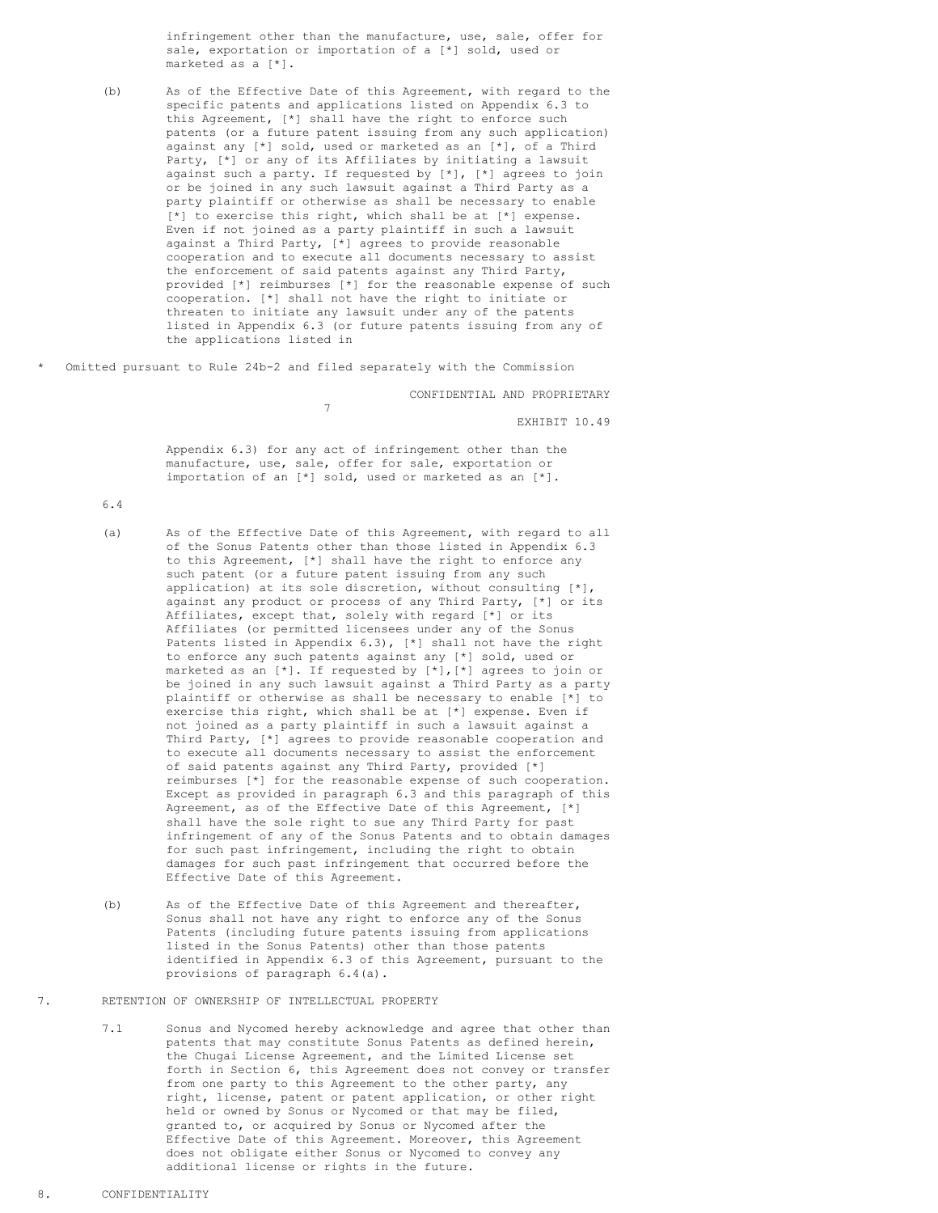infringement other than the manufacture, use, sale, offer for sale, exportation or importation of a [\*] sold, used or marketed as a [\*].

- (b) As of the Effective Date of this Agreement, with regard to the specific patents and applications listed on Appendix 6.3 to this Agreement, [\*] shall have the right to enforce such patents (or a future patent issuing from any such application) against any [\*] sold, used or marketed as an [\*], of a Third Party, [\*] or any of its Affiliates by initiating a lawsuit against such a party. If requested by [\*], [\*] agrees to join or be joined in any such lawsuit against a Third Party as a party plaintiff or otherwise as shall be necessary to enable [\*] to exercise this right, which shall be at [\*] expense. Even if not joined as a party plaintiff in such a lawsuit against a Third Party, [\*] agrees to provide reasonable cooperation and to execute all documents necessary to assist the enforcement of said patents against any Third Party, provided [\*] reimburses [\*] for the reasonable expense of such cooperation. [\*] shall not have the right to initiate or threaten to initiate any lawsuit under any of the patents listed in Appendix 6.3 (or future patents issuing from any of the applications listed in
- Omitted pursuant to Rule 24b-2 and filed separately with the Commission

7

CONFIDENTIAL AND PROPRIETARY

EXHIBIT 10.49

Appendix 6.3) for any act of infringement other than the manufacture, use, sale, offer for sale, exportation or importation of an [\*] sold, used or marketed as an [\*].

6.4

- (a) As of the Effective Date of this Agreement, with regard to all of the Sonus Patents other than those listed in Appendix 6.3 to this Agreement, [\*] shall have the right to enforce any such patent (or a future patent issuing from any such application) at its sole discretion, without consulting [\*], against any product or process of any Third Party, [\*] or its Affiliates, except that, solely with regard [\*] or its Affiliates (or permitted licensees under any of the Sonus Patents listed in Appendix 6.3), [\*] shall not have the right to enforce any such patents against any [\*] sold, used or marketed as an [\*]. If requested by [\*],[\*] agrees to join or be joined in any such lawsuit against a Third Party as a party plaintiff or otherwise as shall be necessary to enable [\*] to exercise this right, which shall be at [\*] expense. Even if not joined as a party plaintiff in such a lawsuit against a Third Party, [\*] agrees to provide reasonable cooperation and to execute all documents necessary to assist the enforcement of said patents against any Third Party, provided [\*] reimburses [\*] for the reasonable expense of such cooperation. Except as provided in paragraph 6.3 and this paragraph of this Agreement, as of the Effective Date of this Agreement, [\*] shall have the sole right to sue any Third Party for past infringement of any of the Sonus Patents and to obtain damages for such past infringement, including the right to obtain damages for such past infringement that occurred before the Effective Date of this Agreement.
- (b) As of the Effective Date of this Agreement and thereafter, Sonus shall not have any right to enforce any of the Sonus Patents (including future patents issuing from applications listed in the Sonus Patents) other than those patents identified in Appendix 6.3 of this Agreement, pursuant to the provisions of paragraph 6.4(a).
- 7. RETENTION OF OWNERSHIP OF INTELLECTUAL PROPERTY
	- 7.1 Sonus and Nycomed hereby acknowledge and agree that other than patents that may constitute Sonus Patents as defined herein, the Chugai License Agreement, and the Limited License set forth in Section 6, this Agreement does not convey or transfer from one party to this Agreement to the other party, any right, license, patent or patent application, or other right held or owned by Sonus or Nycomed or that may be filed, granted to, or acquired by Sonus or Nycomed after the Effective Date of this Agreement. Moreover, this Agreement does not obligate either Sonus or Nycomed to convey any additional license or rights in the future.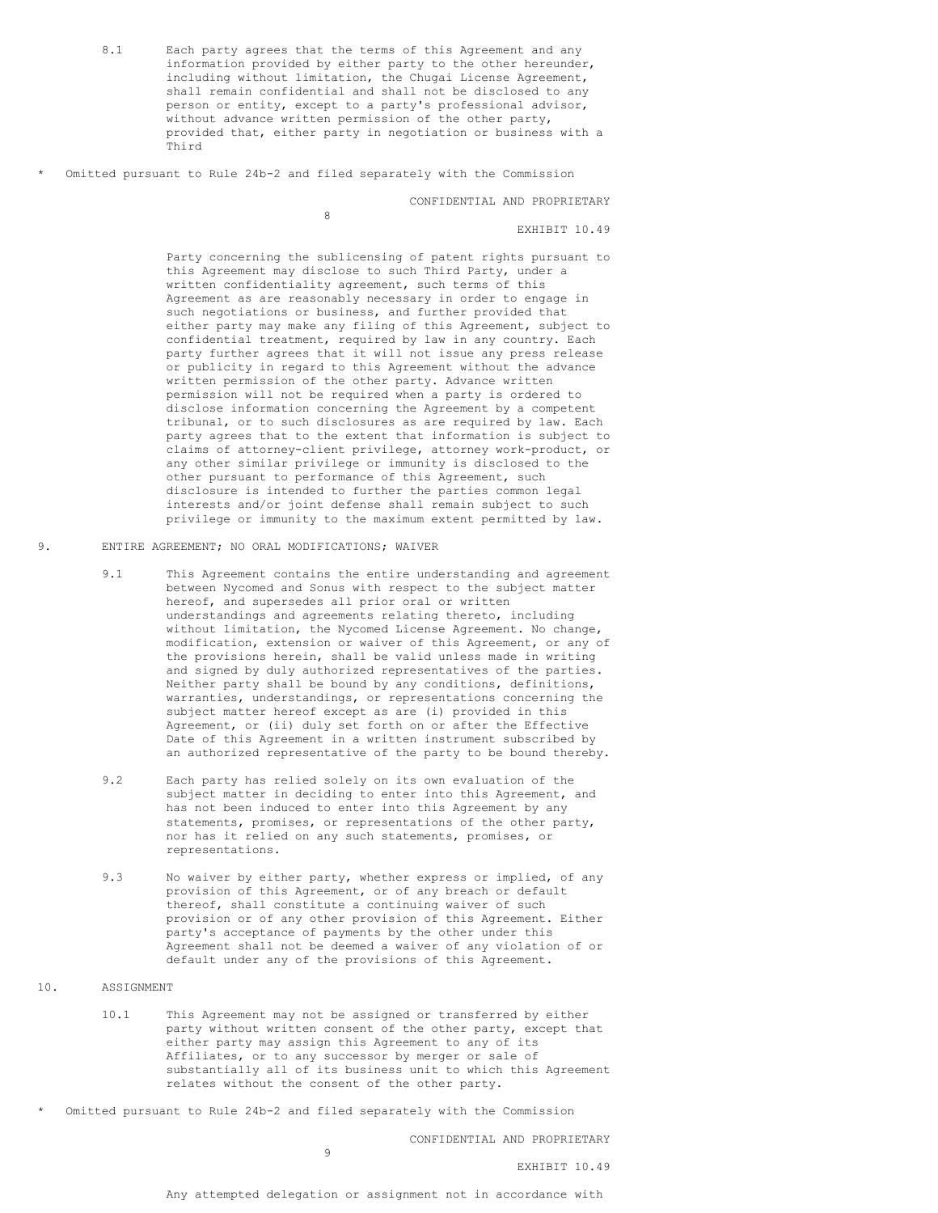- <span id="page-22-0"></span>8.1 Each party agrees that the terms of this Agreement and any information provided by either party to the other hereunder, including without limitation, the Chugai License Agreement, shall remain confidential and shall not be disclosed to any person or entity, except to a party's professional advisor, without advance written permission of the other party, provided that, either party in negotiation or business with a Third
- Omitted pursuant to Rule 24b-2 and filed separately with the Commission

8

CONFIDENTIAL AND PROPRIETARY

EXHIBIT 10.49

Party concerning the sublicensing of patent rights pursuant to this Agreement may disclose to such Third Party, under a written confidentiality agreement, such terms of this Agreement as are reasonably necessary in order to engage in such negotiations or business, and further provided that either party may make any filing of this Agreement, subject to confidential treatment, required by law in any country. Each party further agrees that it will not issue any press release or publicity in regard to this Agreement without the advance written permission of the other party. Advance written permission will not be required when a party is ordered to disclose information concerning the Agreement by a competent tribunal, or to such disclosures as are required by law. Each party agrees that to the extent that information is subject to claims of attorney-client privilege, attorney work-product, or any other similar privilege or immunity is disclosed to the other pursuant to performance of this Agreement, such disclosure is intended to further the parties common legal interests and/or joint defense shall remain subject to such privilege or immunity to the maximum extent permitted by law.

- 9. ENTIRE AGREEMENT; NO ORAL MODIFICATIONS; WAIVER
	- 9.1 This Agreement contains the entire understanding and agreement between Nycomed and Sonus with respect to the subject matter hereof, and supersedes all prior oral or written understandings and agreements relating thereto, including without limitation, the Nycomed License Agreement. No change, modification, extension or waiver of this Agreement, or any of the provisions herein, shall be valid unless made in writing and signed by duly authorized representatives of the parties. Neither party shall be bound by any conditions, definitions, warranties, understandings, or representations concerning the subject matter hereof except as are (i) provided in this Agreement, or (ii) duly set forth on or after the Effective Date of this Agreement in a written instrument subscribed by an authorized representative of the party to be bound thereby.
	- 9.2 Each party has relied solely on its own evaluation of the subject matter in deciding to enter into this Agreement, and has not been induced to enter into this Agreement by any statements, promises, or representations of the other party, nor has it relied on any such statements, promises, or representations.
	- 9.3 No waiver by either party, whether express or implied, of any provision of this Agreement, or of any breach or default thereof, shall constitute a continuing waiver of such provision or of any other provision of this Agreement. Either party's acceptance of payments by the other under this Agreement shall not be deemed a waiver of any violation of or default under any of the provisions of this Agreement.
- 10. ASSIGNMENT
	- 10.1 This Agreement may not be assigned or transferred by either party without written consent of the other party, except that either party may assign this Agreement to any of its Affiliates, or to any successor by merger or sale of substantially all of its business unit to which this Agreement relates without the consent of the other party.
- Omitted pursuant to Rule 24b-2 and filed separately with the Commission

 $\alpha$ 

CONFIDENTIAL AND PROPRIETARY

EXHIBIT 10.49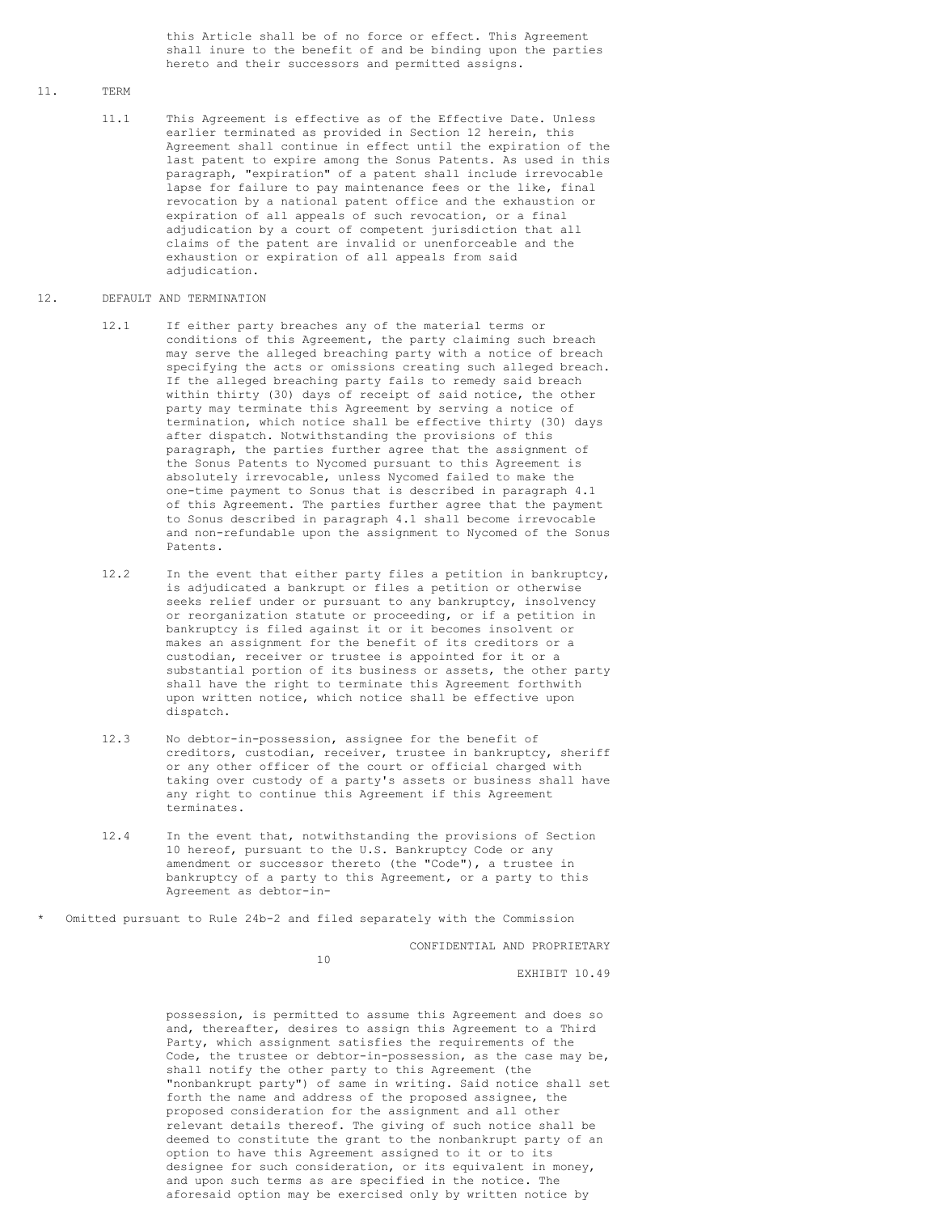this Article shall be of no force or effect. This Agreement shall inure to the benefit of and be binding upon the parties hereto and their successors and permitted assigns.

## 11. TERM

11.1 This Agreement is effective as of the Effective Date. Unless earlier terminated as provided in Section 12 herein, this Agreement shall continue in effect until the expiration of the last patent to expire among the Sonus Patents. As used in this paragraph, "expiration" of a patent shall include irrevocable lapse for failure to pay maintenance fees or the like, final revocation by a national patent office and the exhaustion or expiration of all appeals of such revocation, or a final adjudication by a court of competent jurisdiction that all claims of the patent are invalid or unenforceable and the exhaustion or expiration of all appeals from said adjudication.

### 12. DEFAULT AND TERMINATION

- 12.1 If either party breaches any of the material terms or conditions of this Agreement, the party claiming such breach may serve the alleged breaching party with a notice of breach specifying the acts or omissions creating such alleged breach. If the alleged breaching party fails to remedy said breach within thirty (30) days of receipt of said notice, the other party may terminate this Agreement by serving a notice of termination, which notice shall be effective thirty (30) days after dispatch. Notwithstanding the provisions of this paragraph, the parties further agree that the assignment of the Sonus Patents to Nycomed pursuant to this Agreement is absolutely irrevocable, unless Nycomed failed to make the one-time payment to Sonus that is described in paragraph 4.1 of this Agreement. The parties further agree that the payment to Sonus described in paragraph 4.1 shall become irrevocable and non-refundable upon the assignment to Nycomed of the Sonus Patents.
- 12.2 In the event that either party files a petition in bankruptcy, is adjudicated a bankrupt or files a petition or otherwise seeks relief under or pursuant to any bankruptcy, insolvency or reorganization statute or proceeding, or if a petition in bankruptcy is filed against it or it becomes insolvent or makes an assignment for the benefit of its creditors or a custodian, receiver or trustee is appointed for it or a substantial portion of its business or assets, the other party shall have the right to terminate this Agreement forthwith upon written notice, which notice shall be effective upon dispatch.
- 12.3 No debtor-in-possession, assignee for the benefit of creditors, custodian, receiver, trustee in bankruptcy, sheriff or any other officer of the court or official charged with taking over custody of a party's assets or business shall have any right to continue this Agreement if this Agreement terminates.
- 12.4 In the event that, notwithstanding the provisions of Section 10 hereof, pursuant to the U.S. Bankruptcy Code or any amendment or successor thereto (the "Code"), a trustee in bankruptcy of a party to this Agreement, or a party to this Agreement as debtor-in-

Omitted pursuant to Rule 24b-2 and filed separately with the Commission

CONFIDENTIAL AND PROPRIETARY

10

EXHIBIT 10.49

possession, is permitted to assume this Agreement and does so and, thereafter, desires to assign this Agreement to a Third Party, which assignment satisfies the requirements of the Code, the trustee or debtor-in-possession, as the case may be, shall notify the other party to this Agreement (the "nonbankrupt party") of same in writing. Said notice shall set forth the name and address of the proposed assignee, the proposed consideration for the assignment and all other relevant details thereof. The giving of such notice shall be deemed to constitute the grant to the nonbankrupt party of an option to have this Agreement assigned to it or to its designee for such consideration, or its equivalent in money, and upon such terms as are specified in the notice. The aforesaid option may be exercised only by written notice by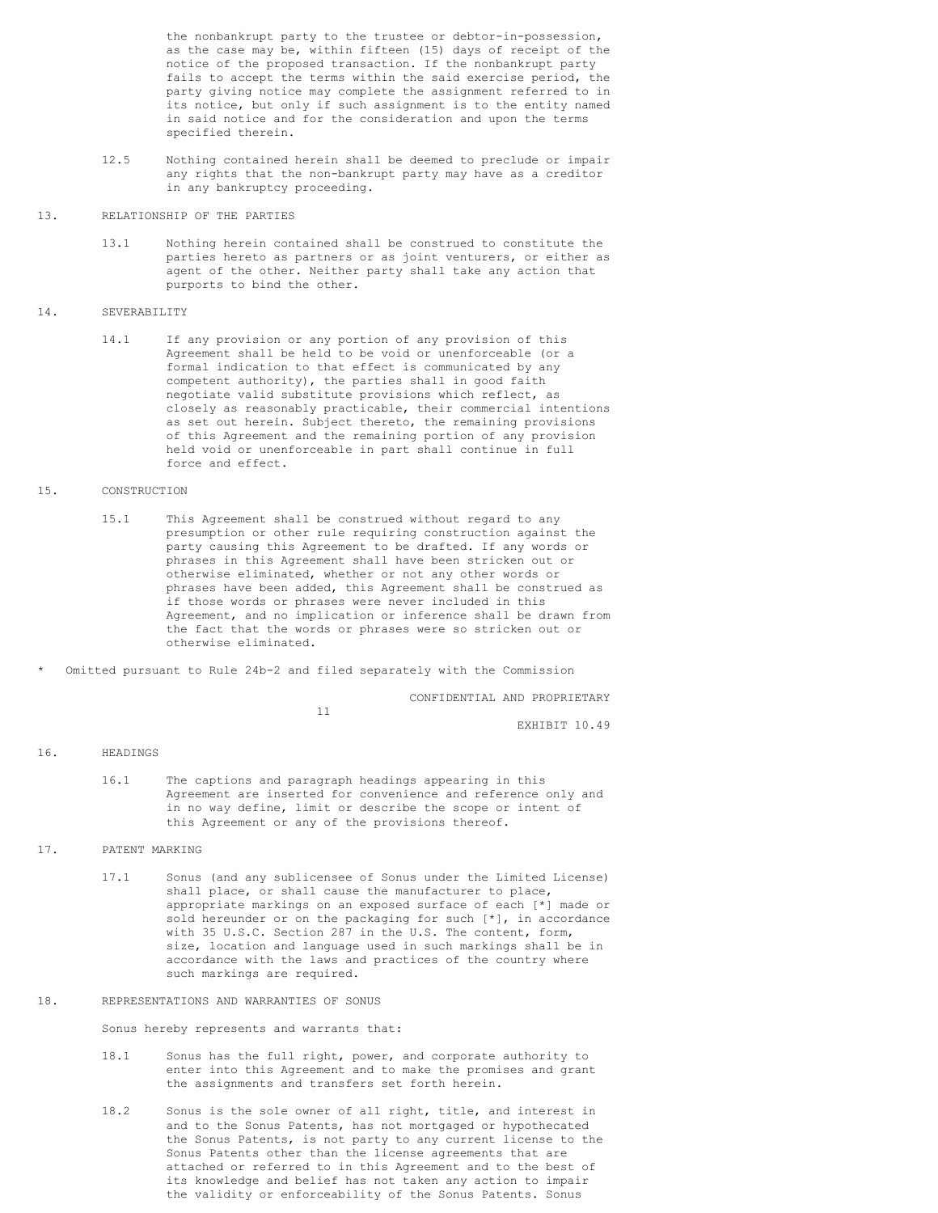the nonbankrupt party to the trustee or debtor-in-possession, as the case may be, within fifteen (15) days of receipt of the notice of the proposed transaction. If the nonbankrupt party fails to accept the terms within the said exercise period, the party giving notice may complete the assignment referred to in its notice, but only if such assignment is to the entity named in said notice and for the consideration and upon the terms specified therein.

- 12.5 Nothing contained herein shall be deemed to preclude or impair any rights that the non-bankrupt party may have as a creditor in any bankruptcy proceeding.
- 13. RELATIONSHIP OF THE PARTIES
	- 13.1 Nothing herein contained shall be construed to constitute the parties hereto as partners or as joint venturers, or either as agent of the other. Neither party shall take any action that purports to bind the other.

#### 14. SEVERABILITY

14.1 If any provision or any portion of any provision of this Agreement shall be held to be void or unenforceable (or a formal indication to that effect is communicated by any competent authority), the parties shall in good faith negotiate valid substitute provisions which reflect, as closely as reasonably practicable, their commercial intentions as set out herein. Subject thereto, the remaining provisions of this Agreement and the remaining portion of any provision held void or unenforceable in part shall continue in full force and effect.

### 15. CONSTRUCTION

- 15.1 This Agreement shall be construed without regard to any presumption or other rule requiring construction against the party causing this Agreement to be drafted. If any words or phrases in this Agreement shall have been stricken out or otherwise eliminated, whether or not any other words or phrases have been added, this Agreement shall be construed as if those words or phrases were never included in this Agreement, and no implication or inference shall be drawn from the fact that the words or phrases were so stricken out or otherwise eliminated.
- Omitted pursuant to Rule 24b-2 and filed separately with the Commission

CONFIDENTIAL AND PROPRIETARY

11

EXHIBIT 10.49

## 16. HEADINGS

16.1 The captions and paragraph headings appearing in this Agreement are inserted for convenience and reference only and in no way define, limit or describe the scope or intent of this Agreement or any of the provisions thereof.

# 17. PATENT MARKING

17.1 Sonus (and any sublicensee of Sonus under the Limited License) shall place, or shall cause the manufacturer to place, appropriate markings on an exposed surface of each [\*] made or sold hereunder or on the packaging for such [\*], in accordance with 35 U.S.C. Section 287 in the U.S. The content, form, size, location and language used in such markings shall be in accordance with the laws and practices of the country where such markings are required.

# 18. REPRESENTATIONS AND WARRANTIES OF SONUS

Sonus hereby represents and warrants that:

- 18.1 Sonus has the full right, power, and corporate authority to enter into this Agreement and to make the promises and grant the assignments and transfers set forth herein.
- 18.2 Sonus is the sole owner of all right, title, and interest in and to the Sonus Patents, has not mortgaged or hypothecated the Sonus Patents, is not party to any current license to the Sonus Patents other than the license agreements that are attached or referred to in this Agreement and to the best of its knowledge and belief has not taken any action to impair the validity or enforceability of the Sonus Patents. Sonus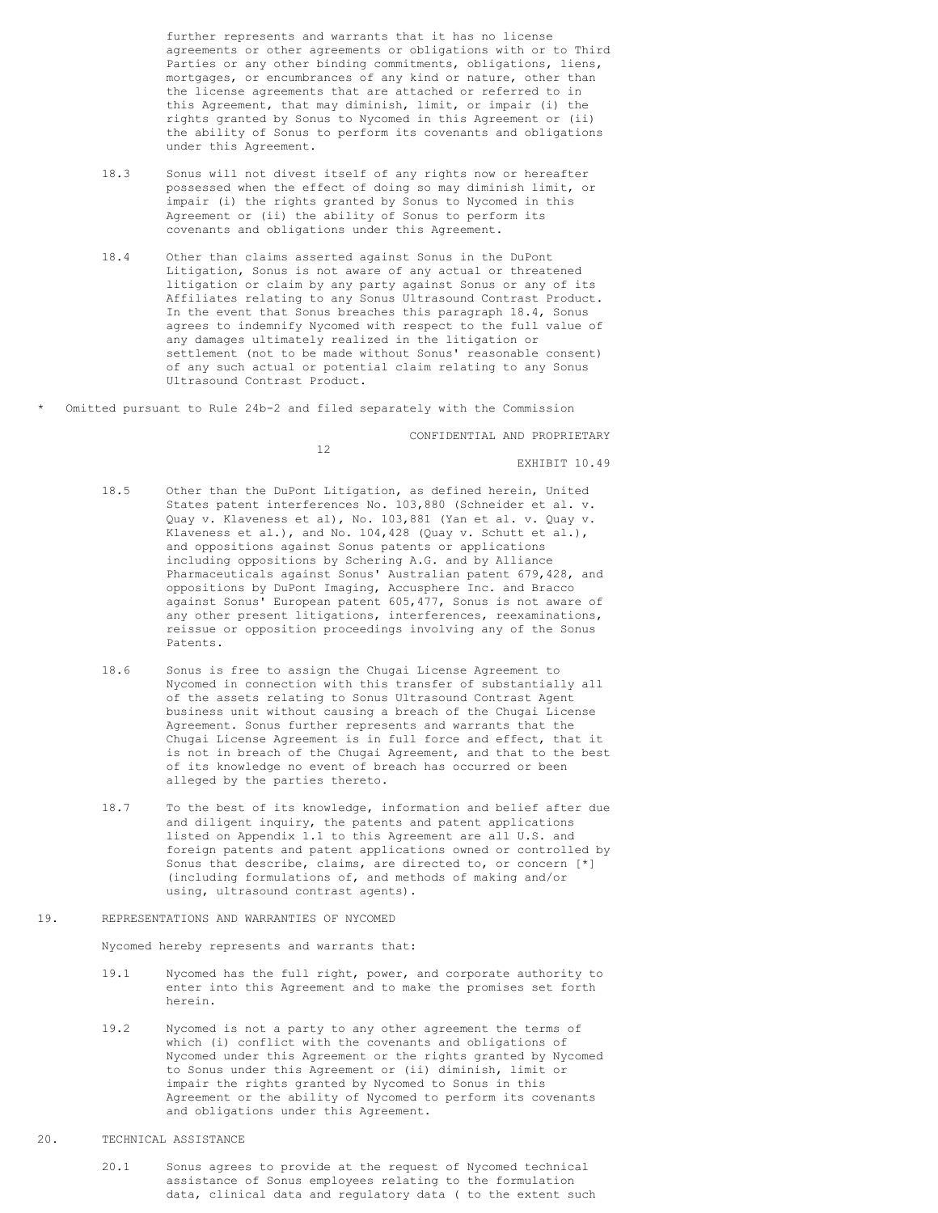further represents and warrants that it has no license agreements or other agreements or obligations with or to Third Parties or any other binding commitments, obligations, liens, mortgages, or encumbrances of any kind or nature, other than the license agreements that are attached or referred to in this Agreement, that may diminish, limit, or impair (i) the rights granted by Sonus to Nycomed in this Agreement or (ii) the ability of Sonus to perform its covenants and obligations under this Agreement.

- 18.3 Sonus will not divest itself of any rights now or hereafter possessed when the effect of doing so may diminish limit, or impair (i) the rights granted by Sonus to Nycomed in this Agreement or (ii) the ability of Sonus to perform its covenants and obligations under this Agreement.
- 18.4 Other than claims asserted against Sonus in the DuPont Litigation, Sonus is not aware of any actual or threatened litigation or claim by any party against Sonus or any of its Affiliates relating to any Sonus Ultrasound Contrast Product. In the event that Sonus breaches this paragraph 18.4, Sonus agrees to indemnify Nycomed with respect to the full value of any damages ultimately realized in the litigation or settlement (not to be made without Sonus' reasonable consent) of any such actual or potential claim relating to any Sonus Ultrasound Contrast Product.
- Omitted pursuant to Rule 24b-2 and filed separately with the Commission

CONFIDENTIAL AND PROPRIETARY

12

EXHIBIT 10.49

- 18.5 Other than the DuPont Litigation, as defined herein, United States patent interferences No. 103,880 (Schneider et al. v. Quay v. Klaveness et al), No. 103,881 (Yan et al. v. Quay v. Klaveness et al.), and No. 104,428 (Quay v. Schutt et al.), and oppositions against Sonus patents or applications including oppositions by Schering A.G. and by Alliance Pharmaceuticals against Sonus' Australian patent 679,428, and oppositions by DuPont Imaging, Accusphere Inc. and Bracco against Sonus' European patent 605,477, Sonus is not aware of any other present litigations, interferences, reexaminations, reissue or opposition proceedings involving any of the Sonus Patents.
- 18.6 Sonus is free to assign the Chugai License Agreement to Nycomed in connection with this transfer of substantially all of the assets relating to Sonus Ultrasound Contrast Agent business unit without causing a breach of the Chugai License Agreement. Sonus further represents and warrants that the Chugai License Agreement is in full force and effect, that it is not in breach of the Chugai Agreement, and that to the best of its knowledge no event of breach has occurred or been alleged by the parties thereto.
- 18.7 To the best of its knowledge, information and belief after due and diligent inquiry, the patents and patent applications listed on Appendix 1.1 to this Agreement are all U.S. and foreign patents and patent applications owned or controlled by Sonus that describe, claims, are directed to, or concern [\*] (including formulations of, and methods of making and/or using, ultrasound contrast agents).
- 19. REPRESENTATIONS AND WARRANTIES OF NYCOMED

Nycomed hereby represents and warrants that:

- 19.1 Nycomed has the full right, power, and corporate authority to enter into this Agreement and to make the promises set forth herein.
- 19.2 Nycomed is not a party to any other agreement the terms of which (i) conflict with the covenants and obligations of Nycomed under this Agreement or the rights granted by Nycomed to Sonus under this Agreement or (ii) diminish, limit or impair the rights granted by Nycomed to Sonus in this Agreement or the ability of Nycomed to perform its covenants and obligations under this Agreement.
- 20. TECHNICAL ASSISTANCE
	- 20.1 Sonus agrees to provide at the request of Nycomed technical assistance of Sonus employees relating to the formulation data, clinical data and regulatory data ( to the extent such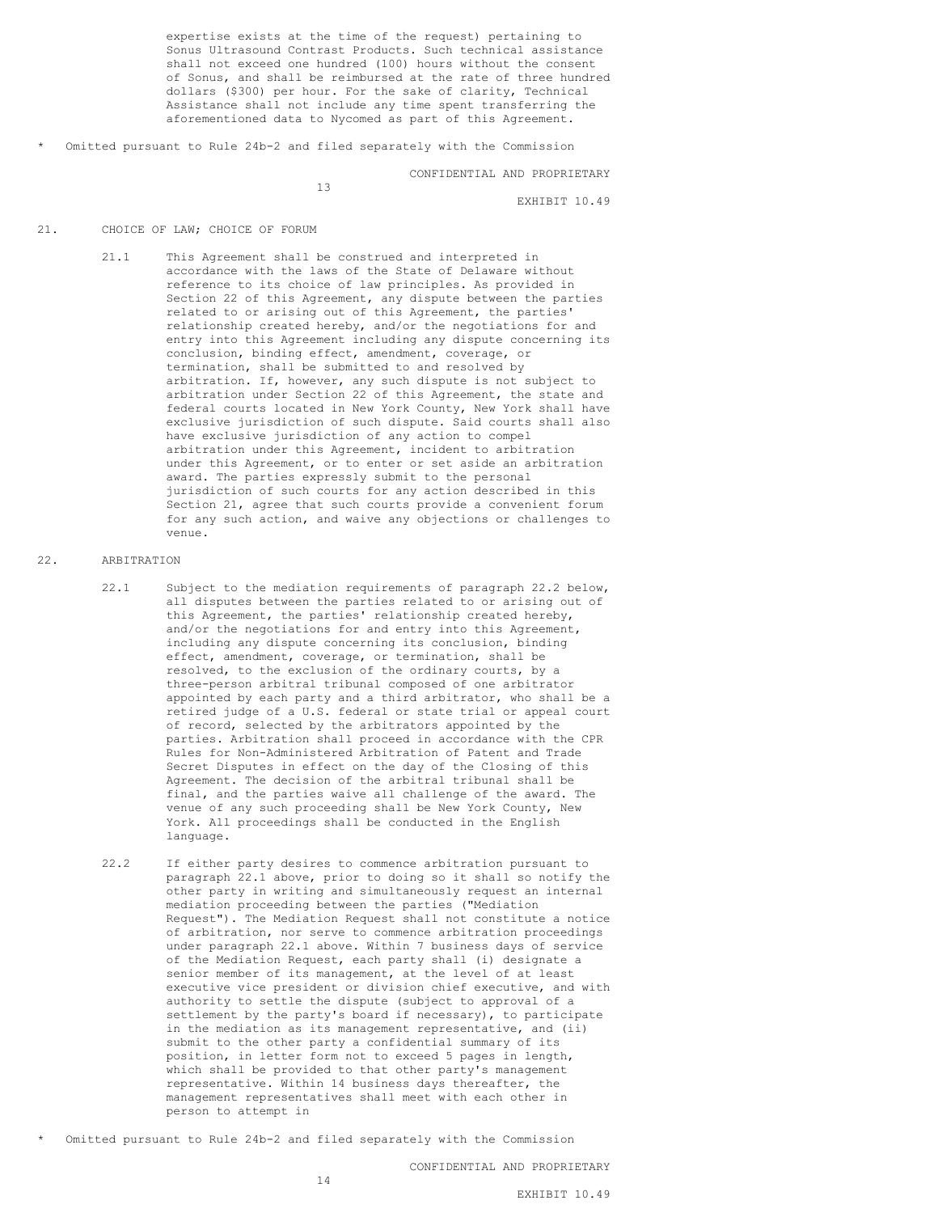expertise exists at the time of the request) pertaining to Sonus Ultrasound Contrast Products. Such technical assistance shall not exceed one hundred (100) hours without the consent of Sonus, and shall be reimbursed at the rate of three hundred dollars (\$300) per hour. For the sake of clarity, Technical Assistance shall not include any time spent transferring the aforementioned data to Nycomed as part of this Agreement.

Omitted pursuant to Rule 24b-2 and filed separately with the Commission

13

#### CONFIDENTIAL AND PROPRIETARY

EXHIBIT 10.49

#### 21. CHOICE OF LAW; CHOICE OF FORUM

21.1 This Agreement shall be construed and interpreted in accordance with the laws of the State of Delaware without reference to its choice of law principles. As provided in Section 22 of this Agreement, any dispute between the parties related to or arising out of this Agreement, the parties' relationship created hereby, and/or the negotiations for and entry into this Agreement including any dispute concerning its conclusion, binding effect, amendment, coverage, or termination, shall be submitted to and resolved by arbitration. If, however, any such dispute is not subject to arbitration under Section 22 of this Agreement, the state and federal courts located in New York County, New York shall have exclusive jurisdiction of such dispute. Said courts shall also have exclusive jurisdiction of any action to compel arbitration under this Agreement, incident to arbitration under this Agreement, or to enter or set aside an arbitration award. The parties expressly submit to the personal jurisdiction of such courts for any action described in this Section 21, agree that such courts provide a convenient forum for any such action, and waive any objections or challenges to venue.

## 22. ARBITRATION

- 22.1 Subject to the mediation requirements of paragraph 22.2 below, all disputes between the parties related to or arising out of this Agreement, the parties' relationship created hereby, and/or the negotiations for and entry into this Agreement, including any dispute concerning its conclusion, binding effect, amendment, coverage, or termination, shall be resolved, to the exclusion of the ordinary courts, by a three-person arbitral tribunal composed of one arbitrator appointed by each party and a third arbitrator, who shall be a retired judge of a U.S. federal or state trial or appeal court of record, selected by the arbitrators appointed by the parties. Arbitration shall proceed in accordance with the CPR Rules for Non-Administered Arbitration of Patent and Trade Secret Disputes in effect on the day of the Closing of this Agreement. The decision of the arbitral tribunal shall be final, and the parties waive all challenge of the award. The venue of any such proceeding shall be New York County, New York. All proceedings shall be conducted in the English language.
- 22.2 If either party desires to commence arbitration pursuant to paragraph 22.1 above, prior to doing so it shall so notify the other party in writing and simultaneously request an internal mediation proceeding between the parties ("Mediation Request"). The Mediation Request shall not constitute a notice of arbitration, nor serve to commence arbitration proceedings under paragraph 22.1 above. Within 7 business days of service of the Mediation Request, each party shall (i) designate a senior member of its management, at the level of at least executive vice president or division chief executive, and with authority to settle the dispute (subject to approval of a settlement by the party's board if necessary), to participate in the mediation as its management representative, and (ii) submit to the other party a confidential summary of its position, in letter form not to exceed 5 pages in length, which shall be provided to that other party's management representative. Within 14 business days thereafter, the management representatives shall meet with each other in person to attempt in
- Omitted pursuant to Rule 24b-2 and filed separately with the Commission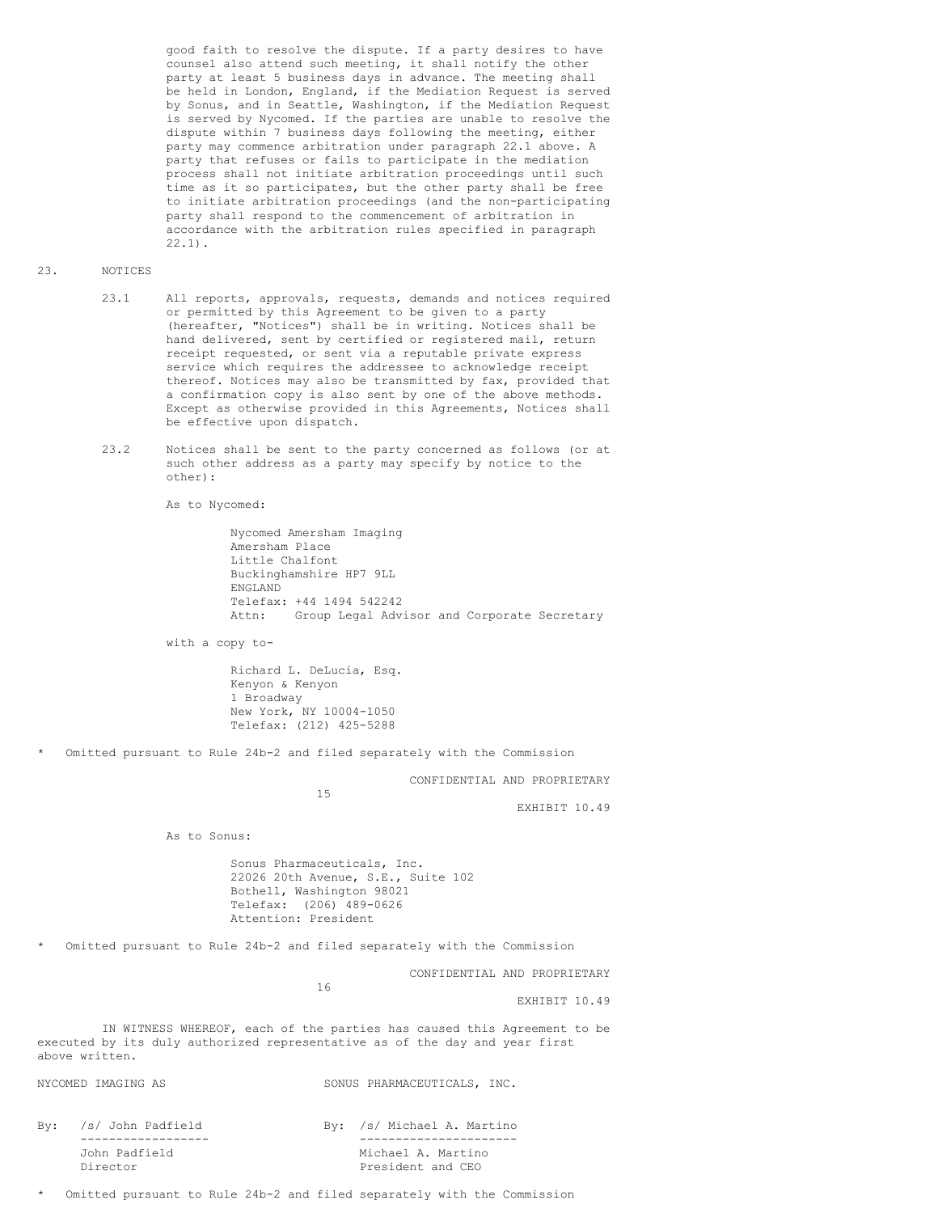good faith to resolve the dispute. If a party desires to have counsel also attend such meeting, it shall notify the other party at least 5 business days in advance. The meeting shall be held in London, England, if the Mediation Request is served by Sonus, and in Seattle, Washington, if the Mediation Request is served by Nycomed. If the parties are unable to resolve the dispute within 7 business days following the meeting, either party may commence arbitration under paragraph 22.1 above. A party that refuses or fails to participate in the mediation process shall not initiate arbitration proceedings until such time as it so participates, but the other party shall be free to initiate arbitration proceedings (and the non-participating party shall respond to the commencement of arbitration in accordance with the arbitration rules specified in paragraph 22.1).

#### 23. NOTICES

- 23.1 All reports, approvals, requests, demands and notices required or permitted by this Agreement to be given to a party (hereafter, "Notices") shall be in writing. Notices shall be hand delivered, sent by certified or registered mail, return receipt requested, or sent via a reputable private express service which requires the addressee to acknowledge receipt thereof. Notices may also be transmitted by fax, provided that a confirmation copy is also sent by one of the above methods. Except as otherwise provided in this Agreements, Notices shall be effective upon dispatch.
- 23.2 Notices shall be sent to the party concerned as follows (or at such other address as a party may specify by notice to the other):

As to Nycomed:

Nycomed Amersham Imaging Amersham Place Little Chalfont Buckinghamshire HP7 9LL ENGLAND Telefax: +44 1494 542242 Attn: Group Legal Advisor and Corporate Secretary

with a copy to-

Richard L. DeLucia, Esq. Kenyon & Kenyon 1 Broadway New York, NY 10004-1050 Telefax: (212) 425-5288

Omitted pursuant to Rule 24b-2 and filed separately with the Commission

CONFIDENTIAL AND PROPRIETARY

15

EXHIBIT 10.49

As to Sonus:

Sonus Pharmaceuticals, Inc. 22026 20th Avenue, S.E., Suite 102 Bothell, Washington 98021 Telefax: (206) 489-0626 Attention: President

Omitted pursuant to Rule 24b-2 and filed separately with the Commission

CONFIDENTIAL AND PROPRIETARY

EXHIBIT 10.49

IN WITNESS WHEREOF, each of the parties has caused this Agreement to be executed by its duly authorized representative as of the day and year first above written.

16

NYCOMED IMAGING AS SONUS PHARMACEUTICALS, INC.

| By: /s/ John Padfield     | By: /s/ Michael A. Martino              |
|---------------------------|-----------------------------------------|
|                           |                                         |
| John Padfield<br>Director | Michael A. Martino<br>President and CEO |
|                           |                                         |

Omitted pursuant to Rule 24b-2 and filed separately with the Commission